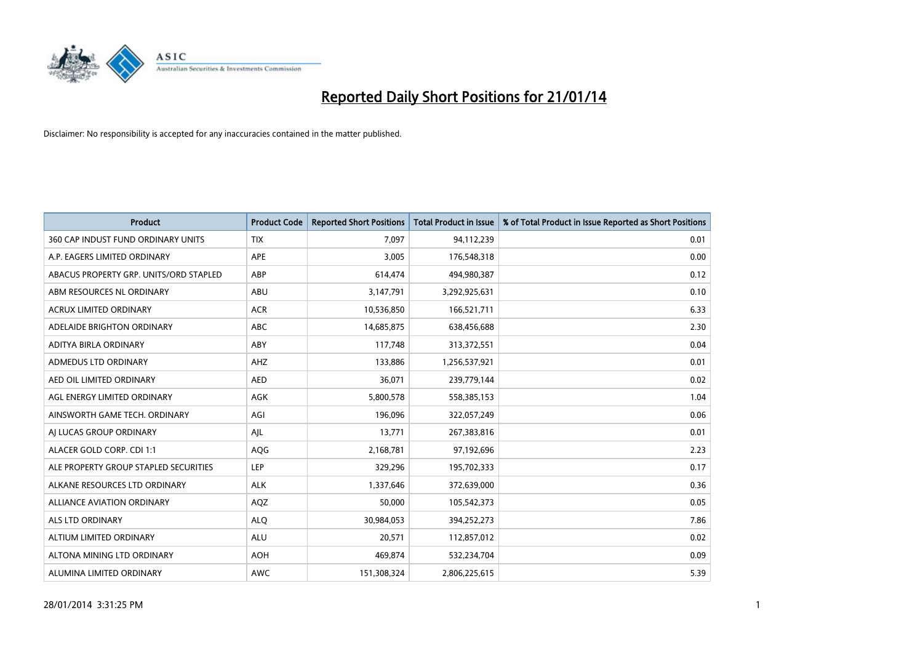

| <b>Product</b>                         | <b>Product Code</b> | <b>Reported Short Positions</b> | <b>Total Product in Issue</b> | % of Total Product in Issue Reported as Short Positions |
|----------------------------------------|---------------------|---------------------------------|-------------------------------|---------------------------------------------------------|
| 360 CAP INDUST FUND ORDINARY UNITS     | <b>TIX</b>          | 7,097                           | 94,112,239                    | 0.01                                                    |
| A.P. EAGERS LIMITED ORDINARY           | APE                 | 3,005                           | 176,548,318                   | 0.00                                                    |
| ABACUS PROPERTY GRP. UNITS/ORD STAPLED | ABP                 | 614,474                         | 494,980,387                   | 0.12                                                    |
| ABM RESOURCES NL ORDINARY              | ABU                 | 3,147,791                       | 3,292,925,631                 | 0.10                                                    |
| <b>ACRUX LIMITED ORDINARY</b>          | <b>ACR</b>          | 10,536,850                      | 166,521,711                   | 6.33                                                    |
| ADELAIDE BRIGHTON ORDINARY             | <b>ABC</b>          | 14,685,875                      | 638,456,688                   | 2.30                                                    |
| ADITYA BIRLA ORDINARY                  | ABY                 | 117,748                         | 313,372,551                   | 0.04                                                    |
| ADMEDUS LTD ORDINARY                   | AHZ                 | 133,886                         | 1,256,537,921                 | 0.01                                                    |
| AED OIL LIMITED ORDINARY               | <b>AED</b>          | 36,071                          | 239,779,144                   | 0.02                                                    |
| AGL ENERGY LIMITED ORDINARY            | <b>AGK</b>          | 5,800,578                       | 558,385,153                   | 1.04                                                    |
| AINSWORTH GAME TECH. ORDINARY          | AGI                 | 196,096                         | 322,057,249                   | 0.06                                                    |
| AI LUCAS GROUP ORDINARY                | AJL                 | 13,771                          | 267,383,816                   | 0.01                                                    |
| ALACER GOLD CORP. CDI 1:1              | AQG                 | 2,168,781                       | 97,192,696                    | 2.23                                                    |
| ALE PROPERTY GROUP STAPLED SECURITIES  | <b>LEP</b>          | 329,296                         | 195,702,333                   | 0.17                                                    |
| ALKANE RESOURCES LTD ORDINARY          | <b>ALK</b>          | 1,337,646                       | 372,639,000                   | 0.36                                                    |
| ALLIANCE AVIATION ORDINARY             | AQZ                 | 50,000                          | 105,542,373                   | 0.05                                                    |
| <b>ALS LTD ORDINARY</b>                | <b>ALQ</b>          | 30,984,053                      | 394,252,273                   | 7.86                                                    |
| ALTIUM LIMITED ORDINARY                | ALU                 | 20,571                          | 112,857,012                   | 0.02                                                    |
| ALTONA MINING LTD ORDINARY             | <b>AOH</b>          | 469,874                         | 532,234,704                   | 0.09                                                    |
| ALUMINA LIMITED ORDINARY               | <b>AWC</b>          | 151,308,324                     | 2,806,225,615                 | 5.39                                                    |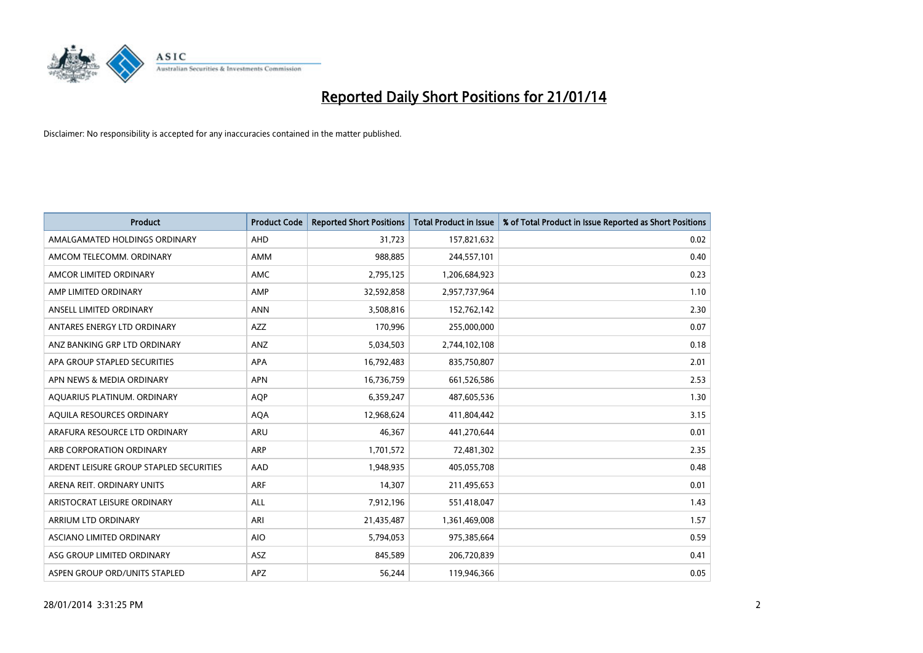

| <b>Product</b>                          | <b>Product Code</b> | <b>Reported Short Positions</b> | <b>Total Product in Issue</b> | % of Total Product in Issue Reported as Short Positions |
|-----------------------------------------|---------------------|---------------------------------|-------------------------------|---------------------------------------------------------|
| AMALGAMATED HOLDINGS ORDINARY           | AHD                 | 31,723                          | 157,821,632                   | 0.02                                                    |
| AMCOM TELECOMM. ORDINARY                | AMM                 | 988,885                         | 244,557,101                   | 0.40                                                    |
| AMCOR LIMITED ORDINARY                  | AMC                 | 2,795,125                       | 1,206,684,923                 | 0.23                                                    |
| AMP LIMITED ORDINARY                    | AMP                 | 32,592,858                      | 2,957,737,964                 | 1.10                                                    |
| ANSELL LIMITED ORDINARY                 | <b>ANN</b>          | 3,508,816                       | 152,762,142                   | 2.30                                                    |
| ANTARES ENERGY LTD ORDINARY             | <b>AZZ</b>          | 170,996                         | 255,000,000                   | 0.07                                                    |
| ANZ BANKING GRP LTD ORDINARY            | ANZ                 | 5,034,503                       | 2,744,102,108                 | 0.18                                                    |
| APA GROUP STAPLED SECURITIES            | APA                 | 16,792,483                      | 835,750,807                   | 2.01                                                    |
| APN NEWS & MEDIA ORDINARY               | <b>APN</b>          | 16,736,759                      | 661,526,586                   | 2.53                                                    |
| AQUARIUS PLATINUM. ORDINARY             | <b>AOP</b>          | 6,359,247                       | 487,605,536                   | 1.30                                                    |
| AQUILA RESOURCES ORDINARY               | <b>AQA</b>          | 12,968,624                      | 411,804,442                   | 3.15                                                    |
| ARAFURA RESOURCE LTD ORDINARY           | ARU                 | 46,367                          | 441,270,644                   | 0.01                                                    |
| ARB CORPORATION ORDINARY                | <b>ARP</b>          | 1,701,572                       | 72,481,302                    | 2.35                                                    |
| ARDENT LEISURE GROUP STAPLED SECURITIES | AAD                 | 1,948,935                       | 405,055,708                   | 0.48                                                    |
| ARENA REIT. ORDINARY UNITS              | <b>ARF</b>          | 14,307                          | 211,495,653                   | 0.01                                                    |
| ARISTOCRAT LEISURE ORDINARY             | ALL                 | 7,912,196                       | 551,418,047                   | 1.43                                                    |
| ARRIUM LTD ORDINARY                     | ARI                 | 21,435,487                      | 1,361,469,008                 | 1.57                                                    |
| ASCIANO LIMITED ORDINARY                | <b>AIO</b>          | 5,794,053                       | 975,385,664                   | 0.59                                                    |
| ASG GROUP LIMITED ORDINARY              | ASZ                 | 845,589                         | 206,720,839                   | 0.41                                                    |
| ASPEN GROUP ORD/UNITS STAPLED           | APZ                 | 56,244                          | 119,946,366                   | 0.05                                                    |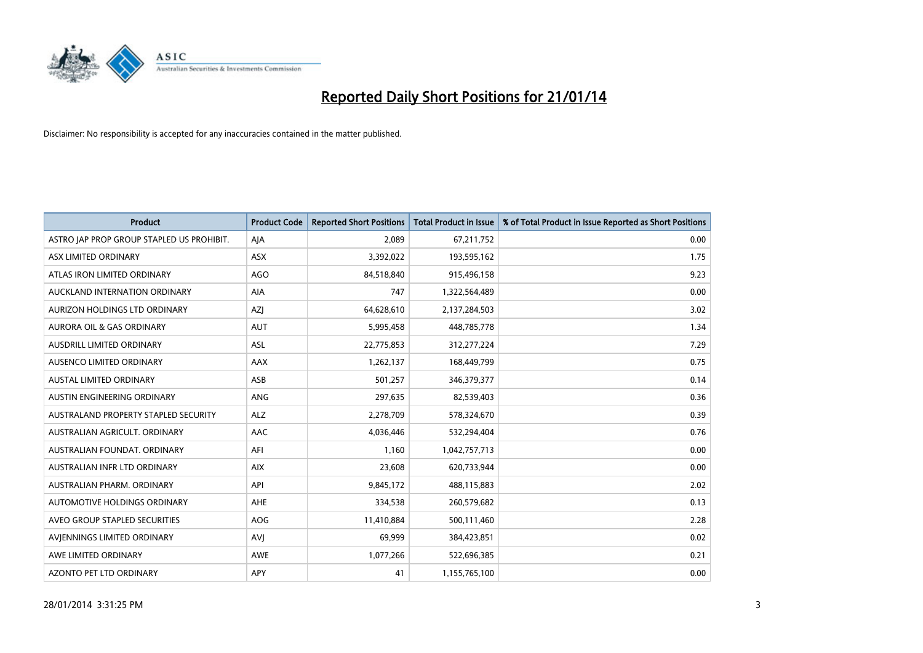

| <b>Product</b>                            | <b>Product Code</b> | <b>Reported Short Positions</b> | <b>Total Product in Issue</b> | % of Total Product in Issue Reported as Short Positions |
|-------------------------------------------|---------------------|---------------------------------|-------------------------------|---------------------------------------------------------|
| ASTRO JAP PROP GROUP STAPLED US PROHIBIT. | AJA                 | 2,089                           | 67,211,752                    | 0.00                                                    |
| ASX LIMITED ORDINARY                      | ASX                 | 3,392,022                       | 193,595,162                   | 1.75                                                    |
| ATLAS IRON LIMITED ORDINARY               | <b>AGO</b>          | 84,518,840                      | 915,496,158                   | 9.23                                                    |
| AUCKLAND INTERNATION ORDINARY             | AIA                 | 747                             | 1,322,564,489                 | 0.00                                                    |
| AURIZON HOLDINGS LTD ORDINARY             | AZJ                 | 64,628,610                      | 2,137,284,503                 | 3.02                                                    |
| <b>AURORA OIL &amp; GAS ORDINARY</b>      | <b>AUT</b>          | 5,995,458                       | 448,785,778                   | 1.34                                                    |
| AUSDRILL LIMITED ORDINARY                 | ASL                 | 22,775,853                      | 312,277,224                   | 7.29                                                    |
| AUSENCO LIMITED ORDINARY                  | AAX                 | 1,262,137                       | 168,449,799                   | 0.75                                                    |
| AUSTAL LIMITED ORDINARY                   | ASB                 | 501,257                         | 346,379,377                   | 0.14                                                    |
| AUSTIN ENGINEERING ORDINARY               | ANG                 | 297,635                         | 82,539,403                    | 0.36                                                    |
| AUSTRALAND PROPERTY STAPLED SECURITY      | <b>ALZ</b>          | 2,278,709                       | 578,324,670                   | 0.39                                                    |
| AUSTRALIAN AGRICULT, ORDINARY             | AAC                 | 4,036,446                       | 532,294,404                   | 0.76                                                    |
| AUSTRALIAN FOUNDAT. ORDINARY              | AFI                 | 1,160                           | 1,042,757,713                 | 0.00                                                    |
| AUSTRALIAN INFR LTD ORDINARY              | <b>AIX</b>          | 23,608                          | 620,733,944                   | 0.00                                                    |
| AUSTRALIAN PHARM, ORDINARY                | API                 | 9,845,172                       | 488,115,883                   | 2.02                                                    |
| AUTOMOTIVE HOLDINGS ORDINARY              | AHE                 | 334,538                         | 260,579,682                   | 0.13                                                    |
| AVEO GROUP STAPLED SECURITIES             | AOG                 | 11,410,884                      | 500,111,460                   | 2.28                                                    |
| AVIENNINGS LIMITED ORDINARY               | <b>AVJ</b>          | 69,999                          | 384,423,851                   | 0.02                                                    |
| AWE LIMITED ORDINARY                      | <b>AWE</b>          | 1,077,266                       | 522,696,385                   | 0.21                                                    |
| AZONTO PET LTD ORDINARY                   | APY                 | 41                              | 1,155,765,100                 | 0.00                                                    |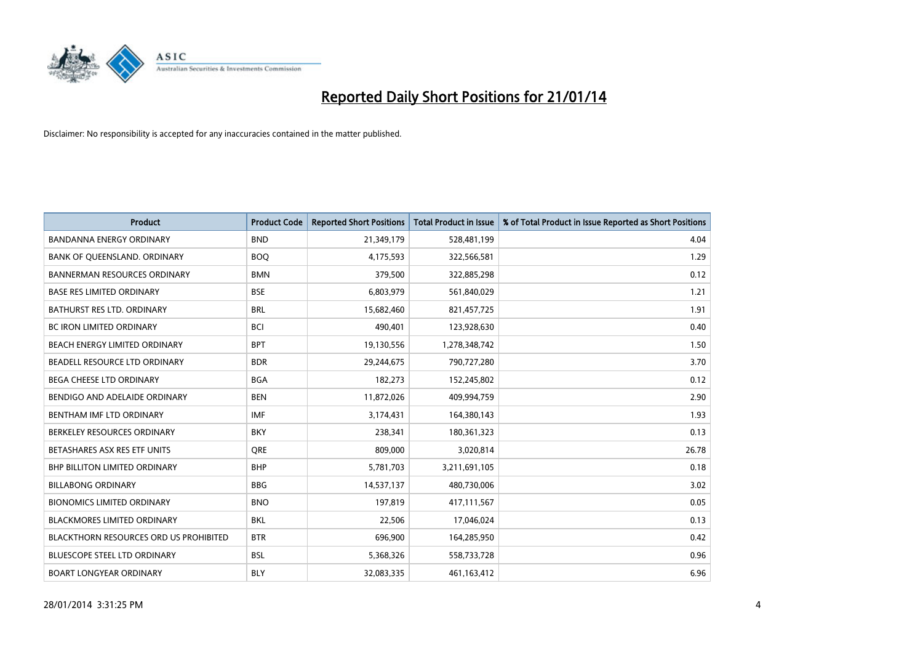

| <b>Product</b>                         | <b>Product Code</b> | <b>Reported Short Positions</b> | <b>Total Product in Issue</b> | % of Total Product in Issue Reported as Short Positions |
|----------------------------------------|---------------------|---------------------------------|-------------------------------|---------------------------------------------------------|
| <b>BANDANNA ENERGY ORDINARY</b>        | <b>BND</b>          | 21,349,179                      | 528,481,199                   | 4.04                                                    |
| BANK OF QUEENSLAND. ORDINARY           | <b>BOQ</b>          | 4,175,593                       | 322,566,581                   | 1.29                                                    |
| <b>BANNERMAN RESOURCES ORDINARY</b>    | <b>BMN</b>          | 379,500                         | 322,885,298                   | 0.12                                                    |
| <b>BASE RES LIMITED ORDINARY</b>       | <b>BSE</b>          | 6,803,979                       | 561,840,029                   | 1.21                                                    |
| <b>BATHURST RES LTD. ORDINARY</b>      | <b>BRL</b>          | 15,682,460                      | 821,457,725                   | 1.91                                                    |
| <b>BC IRON LIMITED ORDINARY</b>        | <b>BCI</b>          | 490.401                         | 123,928,630                   | 0.40                                                    |
| BEACH ENERGY LIMITED ORDINARY          | <b>BPT</b>          | 19,130,556                      | 1,278,348,742                 | 1.50                                                    |
| BEADELL RESOURCE LTD ORDINARY          | <b>BDR</b>          | 29,244,675                      | 790,727,280                   | 3.70                                                    |
| BEGA CHEESE LTD ORDINARY               | <b>BGA</b>          | 182,273                         | 152,245,802                   | 0.12                                                    |
| BENDIGO AND ADELAIDE ORDINARY          | <b>BEN</b>          | 11,872,026                      | 409,994,759                   | 2.90                                                    |
| BENTHAM IMF LTD ORDINARY               | IMF                 | 3,174,431                       | 164,380,143                   | 1.93                                                    |
| BERKELEY RESOURCES ORDINARY            | <b>BKY</b>          | 238,341                         | 180,361,323                   | 0.13                                                    |
| BETASHARES ASX RES ETF UNITS           | <b>ORE</b>          | 809,000                         | 3,020,814                     | 26.78                                                   |
| <b>BHP BILLITON LIMITED ORDINARY</b>   | <b>BHP</b>          | 5,781,703                       | 3,211,691,105                 | 0.18                                                    |
| <b>BILLABONG ORDINARY</b>              | <b>BBG</b>          | 14,537,137                      | 480,730,006                   | 3.02                                                    |
| <b>BIONOMICS LIMITED ORDINARY</b>      | <b>BNO</b>          | 197.819                         | 417,111,567                   | 0.05                                                    |
| <b>BLACKMORES LIMITED ORDINARY</b>     | <b>BKL</b>          | 22,506                          | 17,046,024                    | 0.13                                                    |
| BLACKTHORN RESOURCES ORD US PROHIBITED | <b>BTR</b>          | 696,900                         | 164,285,950                   | 0.42                                                    |
| <b>BLUESCOPE STEEL LTD ORDINARY</b>    | <b>BSL</b>          | 5,368,326                       | 558,733,728                   | 0.96                                                    |
| <b>BOART LONGYEAR ORDINARY</b>         | <b>BLY</b>          | 32,083,335                      | 461,163,412                   | 6.96                                                    |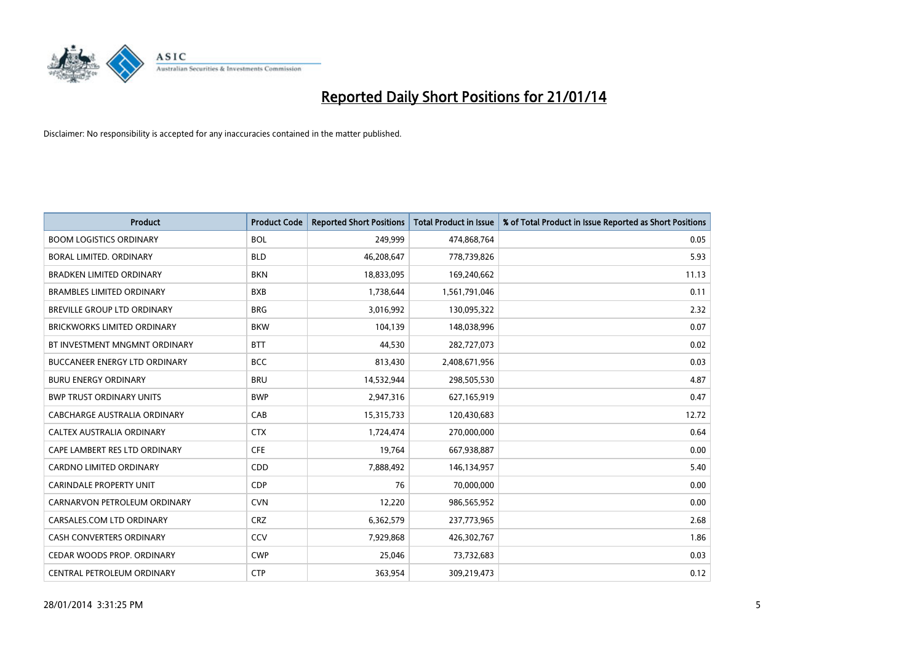

| <b>Product</b>                       | <b>Product Code</b> | <b>Reported Short Positions</b> | <b>Total Product in Issue</b> | % of Total Product in Issue Reported as Short Positions |
|--------------------------------------|---------------------|---------------------------------|-------------------------------|---------------------------------------------------------|
| <b>BOOM LOGISTICS ORDINARY</b>       | <b>BOL</b>          | 249,999                         | 474,868,764                   | 0.05                                                    |
| <b>BORAL LIMITED, ORDINARY</b>       | <b>BLD</b>          | 46,208,647                      | 778,739,826                   | 5.93                                                    |
| <b>BRADKEN LIMITED ORDINARY</b>      | <b>BKN</b>          | 18,833,095                      | 169,240,662                   | 11.13                                                   |
| <b>BRAMBLES LIMITED ORDINARY</b>     | <b>BXB</b>          | 1,738,644                       | 1,561,791,046                 | 0.11                                                    |
| BREVILLE GROUP LTD ORDINARY          | <b>BRG</b>          | 3,016,992                       | 130,095,322                   | 2.32                                                    |
| <b>BRICKWORKS LIMITED ORDINARY</b>   | <b>BKW</b>          | 104,139                         | 148,038,996                   | 0.07                                                    |
| BT INVESTMENT MNGMNT ORDINARY        | <b>BTT</b>          | 44,530                          | 282,727,073                   | 0.02                                                    |
| <b>BUCCANEER ENERGY LTD ORDINARY</b> | <b>BCC</b>          | 813,430                         | 2,408,671,956                 | 0.03                                                    |
| <b>BURU ENERGY ORDINARY</b>          | <b>BRU</b>          | 14,532,944                      | 298,505,530                   | 4.87                                                    |
| <b>BWP TRUST ORDINARY UNITS</b>      | <b>BWP</b>          | 2,947,316                       | 627,165,919                   | 0.47                                                    |
| CABCHARGE AUSTRALIA ORDINARY         | CAB                 | 15,315,733                      | 120,430,683                   | 12.72                                                   |
| CALTEX AUSTRALIA ORDINARY            | <b>CTX</b>          | 1,724,474                       | 270,000,000                   | 0.64                                                    |
| CAPE LAMBERT RES LTD ORDINARY        | <b>CFE</b>          | 19,764                          | 667,938,887                   | 0.00                                                    |
| <b>CARDNO LIMITED ORDINARY</b>       | CDD                 | 7,888,492                       | 146,134,957                   | 5.40                                                    |
| <b>CARINDALE PROPERTY UNIT</b>       | <b>CDP</b>          | 76                              | 70,000,000                    | 0.00                                                    |
| CARNARVON PETROLEUM ORDINARY         | <b>CVN</b>          | 12,220                          | 986,565,952                   | 0.00                                                    |
| CARSALES.COM LTD ORDINARY            | <b>CRZ</b>          | 6,362,579                       | 237,773,965                   | 2.68                                                    |
| CASH CONVERTERS ORDINARY             | CCV                 | 7,929,868                       | 426,302,767                   | 1.86                                                    |
| CEDAR WOODS PROP. ORDINARY           | <b>CWP</b>          | 25,046                          | 73,732,683                    | 0.03                                                    |
| CENTRAL PETROLEUM ORDINARY           | <b>CTP</b>          | 363,954                         | 309,219,473                   | 0.12                                                    |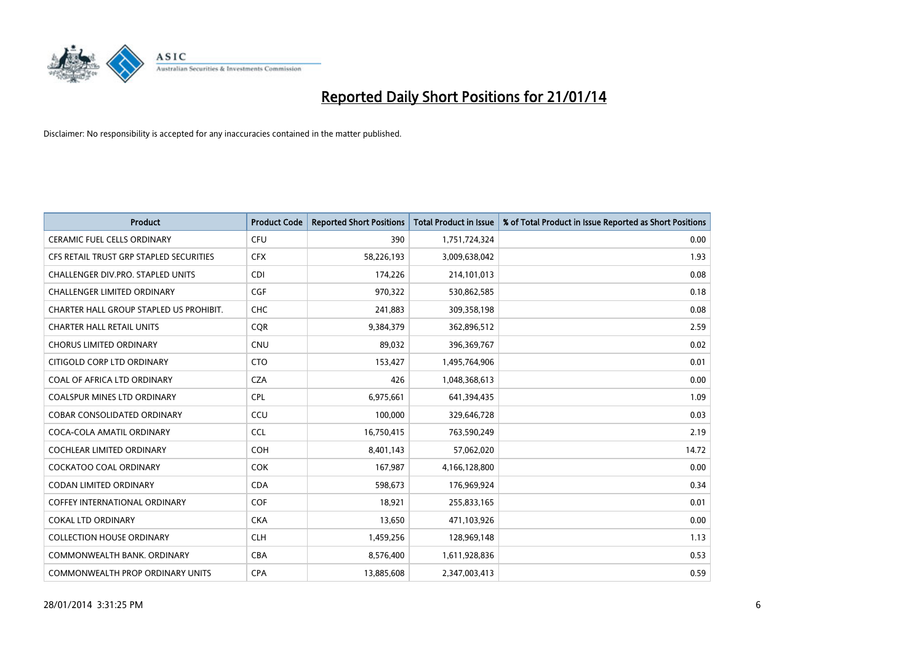

| <b>Product</b>                          | <b>Product Code</b> | <b>Reported Short Positions</b> | <b>Total Product in Issue</b> | % of Total Product in Issue Reported as Short Positions |
|-----------------------------------------|---------------------|---------------------------------|-------------------------------|---------------------------------------------------------|
| <b>CERAMIC FUEL CELLS ORDINARY</b>      | <b>CFU</b>          | 390                             | 1,751,724,324                 | 0.00                                                    |
| CFS RETAIL TRUST GRP STAPLED SECURITIES | <b>CFX</b>          | 58,226,193                      | 3,009,638,042                 | 1.93                                                    |
| CHALLENGER DIV.PRO. STAPLED UNITS       | <b>CDI</b>          | 174,226                         | 214,101,013                   | 0.08                                                    |
| <b>CHALLENGER LIMITED ORDINARY</b>      | <b>CGF</b>          | 970,322                         | 530,862,585                   | 0.18                                                    |
| CHARTER HALL GROUP STAPLED US PROHIBIT. | <b>CHC</b>          | 241,883                         | 309,358,198                   | 0.08                                                    |
| <b>CHARTER HALL RETAIL UNITS</b>        | CQR                 | 9,384,379                       | 362,896,512                   | 2.59                                                    |
| <b>CHORUS LIMITED ORDINARY</b>          | CNU                 | 89,032                          | 396,369,767                   | 0.02                                                    |
| CITIGOLD CORP LTD ORDINARY              | <b>CTO</b>          | 153,427                         | 1,495,764,906                 | 0.01                                                    |
| COAL OF AFRICA LTD ORDINARY             | <b>CZA</b>          | 426                             | 1,048,368,613                 | 0.00                                                    |
| <b>COALSPUR MINES LTD ORDINARY</b>      | <b>CPL</b>          | 6,975,661                       | 641,394,435                   | 1.09                                                    |
| <b>COBAR CONSOLIDATED ORDINARY</b>      | CCU                 | 100,000                         | 329,646,728                   | 0.03                                                    |
| COCA-COLA AMATIL ORDINARY               | <b>CCL</b>          | 16,750,415                      | 763,590,249                   | 2.19                                                    |
| <b>COCHLEAR LIMITED ORDINARY</b>        | <b>COH</b>          | 8,401,143                       | 57,062,020                    | 14.72                                                   |
| <b>COCKATOO COAL ORDINARY</b>           | <b>COK</b>          | 167,987                         | 4,166,128,800                 | 0.00                                                    |
| <b>CODAN LIMITED ORDINARY</b>           | <b>CDA</b>          | 598,673                         | 176,969,924                   | 0.34                                                    |
| <b>COFFEY INTERNATIONAL ORDINARY</b>    | <b>COF</b>          | 18.921                          | 255,833,165                   | 0.01                                                    |
| <b>COKAL LTD ORDINARY</b>               | <b>CKA</b>          | 13,650                          | 471,103,926                   | 0.00                                                    |
| <b>COLLECTION HOUSE ORDINARY</b>        | <b>CLH</b>          | 1,459,256                       | 128,969,148                   | 1.13                                                    |
| COMMONWEALTH BANK, ORDINARY             | <b>CBA</b>          | 8,576,400                       | 1,611,928,836                 | 0.53                                                    |
| COMMONWEALTH PROP ORDINARY UNITS        | <b>CPA</b>          | 13,885,608                      | 2,347,003,413                 | 0.59                                                    |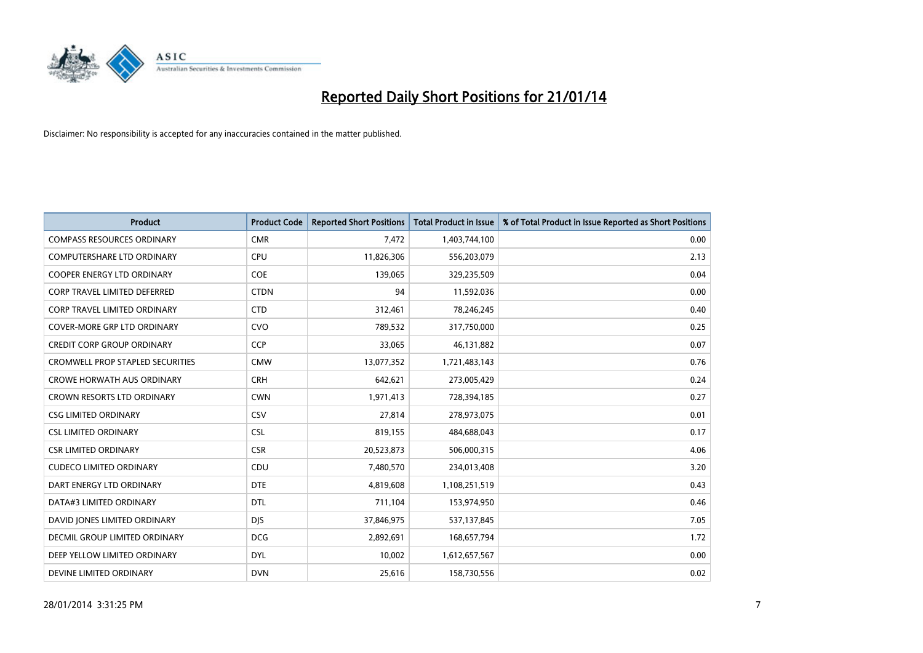

| <b>Product</b>                          | <b>Product Code</b> | <b>Reported Short Positions</b> | <b>Total Product in Issue</b> | % of Total Product in Issue Reported as Short Positions |
|-----------------------------------------|---------------------|---------------------------------|-------------------------------|---------------------------------------------------------|
| <b>COMPASS RESOURCES ORDINARY</b>       | <b>CMR</b>          | 7,472                           | 1,403,744,100                 | 0.00                                                    |
| COMPUTERSHARE LTD ORDINARY              | <b>CPU</b>          | 11,826,306                      | 556,203,079                   | 2.13                                                    |
| <b>COOPER ENERGY LTD ORDINARY</b>       | <b>COE</b>          | 139,065                         | 329,235,509                   | 0.04                                                    |
| <b>CORP TRAVEL LIMITED DEFERRED</b>     | <b>CTDN</b>         | 94                              | 11,592,036                    | 0.00                                                    |
| <b>CORP TRAVEL LIMITED ORDINARY</b>     | <b>CTD</b>          | 312,461                         | 78,246,245                    | 0.40                                                    |
| <b>COVER-MORE GRP LTD ORDINARY</b>      | <b>CVO</b>          | 789,532                         | 317,750,000                   | 0.25                                                    |
| <b>CREDIT CORP GROUP ORDINARY</b>       | <b>CCP</b>          | 33,065                          | 46,131,882                    | 0.07                                                    |
| <b>CROMWELL PROP STAPLED SECURITIES</b> | <b>CMW</b>          | 13,077,352                      | 1,721,483,143                 | 0.76                                                    |
| <b>CROWE HORWATH AUS ORDINARY</b>       | <b>CRH</b>          | 642,621                         | 273,005,429                   | 0.24                                                    |
| <b>CROWN RESORTS LTD ORDINARY</b>       | <b>CWN</b>          | 1,971,413                       | 728,394,185                   | 0.27                                                    |
| <b>CSG LIMITED ORDINARY</b>             | CSV                 | 27,814                          | 278,973,075                   | 0.01                                                    |
| <b>CSL LIMITED ORDINARY</b>             | <b>CSL</b>          | 819,155                         | 484,688,043                   | 0.17                                                    |
| <b>CSR LIMITED ORDINARY</b>             | <b>CSR</b>          | 20,523,873                      | 506,000,315                   | 4.06                                                    |
| <b>CUDECO LIMITED ORDINARY</b>          | CDU                 | 7,480,570                       | 234,013,408                   | 3.20                                                    |
| DART ENERGY LTD ORDINARY                | <b>DTE</b>          | 4,819,608                       | 1,108,251,519                 | 0.43                                                    |
| DATA#3 LIMITED ORDINARY                 | DTL                 | 711,104                         | 153,974,950                   | 0.46                                                    |
| DAVID JONES LIMITED ORDINARY            | <b>DJS</b>          | 37,846,975                      | 537,137,845                   | 7.05                                                    |
| <b>DECMIL GROUP LIMITED ORDINARY</b>    | <b>DCG</b>          | 2,892,691                       | 168,657,794                   | 1.72                                                    |
| DEEP YELLOW LIMITED ORDINARY            | <b>DYL</b>          | 10,002                          | 1,612,657,567                 | 0.00                                                    |
| DEVINE LIMITED ORDINARY                 | <b>DVN</b>          | 25,616                          | 158,730,556                   | 0.02                                                    |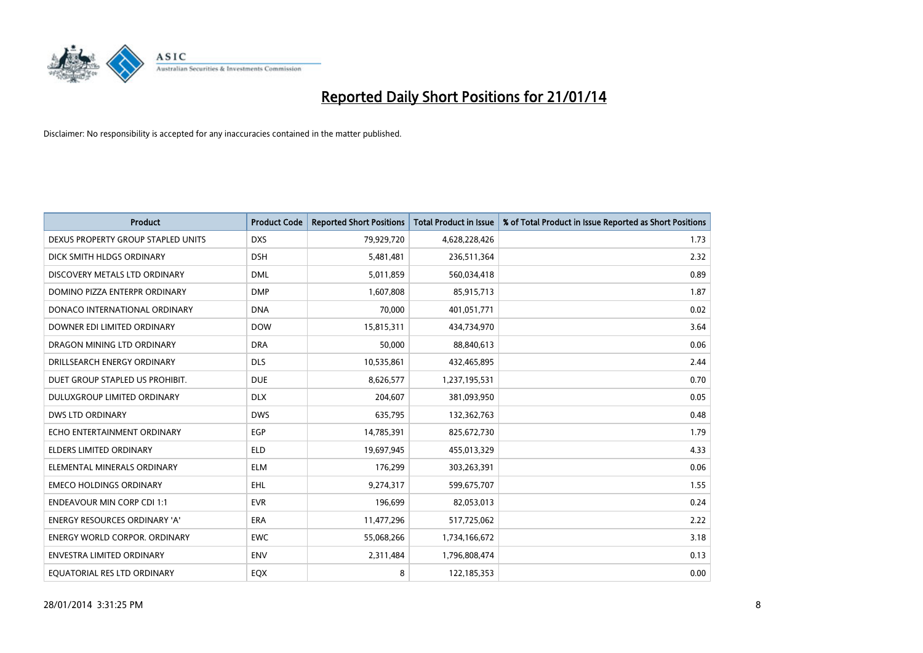

| <b>Product</b>                       | <b>Product Code</b> | <b>Reported Short Positions</b> | <b>Total Product in Issue</b> | % of Total Product in Issue Reported as Short Positions |
|--------------------------------------|---------------------|---------------------------------|-------------------------------|---------------------------------------------------------|
| DEXUS PROPERTY GROUP STAPLED UNITS   | <b>DXS</b>          | 79,929,720                      | 4,628,228,426                 | 1.73                                                    |
| DICK SMITH HLDGS ORDINARY            | <b>DSH</b>          | 5,481,481                       | 236,511,364                   | 2.32                                                    |
| DISCOVERY METALS LTD ORDINARY        | <b>DML</b>          | 5,011,859                       | 560,034,418                   | 0.89                                                    |
| DOMINO PIZZA ENTERPR ORDINARY        | <b>DMP</b>          | 1,607,808                       | 85,915,713                    | 1.87                                                    |
| DONACO INTERNATIONAL ORDINARY        | <b>DNA</b>          | 70,000                          | 401,051,771                   | 0.02                                                    |
| DOWNER EDI LIMITED ORDINARY          | <b>DOW</b>          | 15,815,311                      | 434,734,970                   | 3.64                                                    |
| DRAGON MINING LTD ORDINARY           | <b>DRA</b>          | 50,000                          | 88,840,613                    | 0.06                                                    |
| DRILLSEARCH ENERGY ORDINARY          | <b>DLS</b>          | 10,535,861                      | 432,465,895                   | 2.44                                                    |
| DUET GROUP STAPLED US PROHIBIT.      | <b>DUE</b>          | 8,626,577                       | 1,237,195,531                 | 0.70                                                    |
| DULUXGROUP LIMITED ORDINARY          | <b>DLX</b>          | 204,607                         | 381,093,950                   | 0.05                                                    |
| <b>DWS LTD ORDINARY</b>              | <b>DWS</b>          | 635,795                         | 132,362,763                   | 0.48                                                    |
| ECHO ENTERTAINMENT ORDINARY          | <b>EGP</b>          | 14,785,391                      | 825,672,730                   | 1.79                                                    |
| ELDERS LIMITED ORDINARY              | <b>ELD</b>          | 19,697,945                      | 455,013,329                   | 4.33                                                    |
| ELEMENTAL MINERALS ORDINARY          | <b>ELM</b>          | 176,299                         | 303,263,391                   | 0.06                                                    |
| <b>EMECO HOLDINGS ORDINARY</b>       | <b>EHL</b>          | 9,274,317                       | 599,675,707                   | 1.55                                                    |
| <b>ENDEAVOUR MIN CORP CDI 1:1</b>    | <b>EVR</b>          | 196,699                         | 82,053,013                    | 0.24                                                    |
| ENERGY RESOURCES ORDINARY 'A'        | ERA                 | 11,477,296                      | 517,725,062                   | 2.22                                                    |
| <b>ENERGY WORLD CORPOR. ORDINARY</b> | <b>EWC</b>          | 55,068,266                      | 1,734,166,672                 | 3.18                                                    |
| ENVESTRA LIMITED ORDINARY            | <b>ENV</b>          | 2,311,484                       | 1,796,808,474                 | 0.13                                                    |
| EQUATORIAL RES LTD ORDINARY          | EQX                 | 8                               | 122,185,353                   | 0.00                                                    |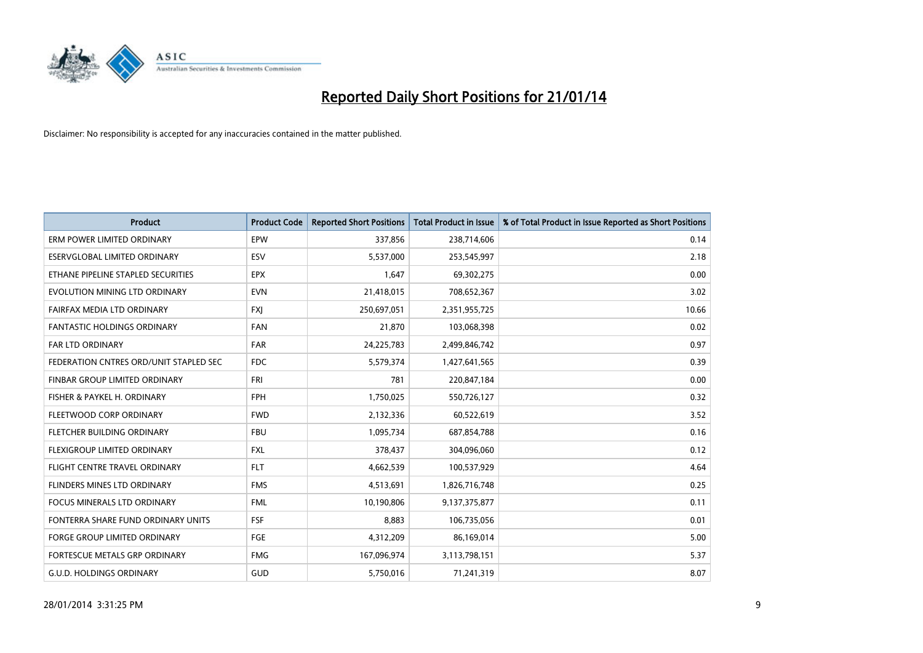

| <b>Product</b>                         | <b>Product Code</b> | <b>Reported Short Positions</b> | <b>Total Product in Issue</b> | % of Total Product in Issue Reported as Short Positions |
|----------------------------------------|---------------------|---------------------------------|-------------------------------|---------------------------------------------------------|
| ERM POWER LIMITED ORDINARY             | EPW                 | 337,856                         | 238,714,606                   | 0.14                                                    |
| ESERVGLOBAL LIMITED ORDINARY           | <b>ESV</b>          | 5,537,000                       | 253,545,997                   | 2.18                                                    |
| ETHANE PIPELINE STAPLED SECURITIES     | <b>EPX</b>          | 1,647                           | 69,302,275                    | 0.00                                                    |
| EVOLUTION MINING LTD ORDINARY          | <b>EVN</b>          | 21,418,015                      | 708,652,367                   | 3.02                                                    |
| <b>FAIRFAX MEDIA LTD ORDINARY</b>      | <b>FXI</b>          | 250,697,051                     | 2,351,955,725                 | 10.66                                                   |
| <b>FANTASTIC HOLDINGS ORDINARY</b>     | <b>FAN</b>          | 21,870                          | 103,068,398                   | 0.02                                                    |
| <b>FAR LTD ORDINARY</b>                | <b>FAR</b>          | 24,225,783                      | 2,499,846,742                 | 0.97                                                    |
| FEDERATION CNTRES ORD/UNIT STAPLED SEC | <b>FDC</b>          | 5,579,374                       | 1,427,641,565                 | 0.39                                                    |
| FINBAR GROUP LIMITED ORDINARY          | <b>FRI</b>          | 781                             | 220,847,184                   | 0.00                                                    |
| FISHER & PAYKEL H. ORDINARY            | <b>FPH</b>          | 1,750,025                       | 550,726,127                   | 0.32                                                    |
| FLEETWOOD CORP ORDINARY                | <b>FWD</b>          | 2,132,336                       | 60,522,619                    | 3.52                                                    |
| FLETCHER BUILDING ORDINARY             | <b>FBU</b>          | 1,095,734                       | 687,854,788                   | 0.16                                                    |
| FLEXIGROUP LIMITED ORDINARY            | <b>FXL</b>          | 378,437                         | 304,096,060                   | 0.12                                                    |
| FLIGHT CENTRE TRAVEL ORDINARY          | <b>FLT</b>          | 4,662,539                       | 100,537,929                   | 4.64                                                    |
| FLINDERS MINES LTD ORDINARY            | <b>FMS</b>          | 4,513,691                       | 1,826,716,748                 | 0.25                                                    |
| FOCUS MINERALS LTD ORDINARY            | <b>FML</b>          | 10,190,806                      | 9,137,375,877                 | 0.11                                                    |
| FONTERRA SHARE FUND ORDINARY UNITS     | FSF                 | 8,883                           | 106,735,056                   | 0.01                                                    |
| <b>FORGE GROUP LIMITED ORDINARY</b>    | FGE                 | 4,312,209                       | 86,169,014                    | 5.00                                                    |
| FORTESCUE METALS GRP ORDINARY          | <b>FMG</b>          | 167,096,974                     | 3,113,798,151                 | 5.37                                                    |
| <b>G.U.D. HOLDINGS ORDINARY</b>        | GUD                 | 5,750,016                       | 71,241,319                    | 8.07                                                    |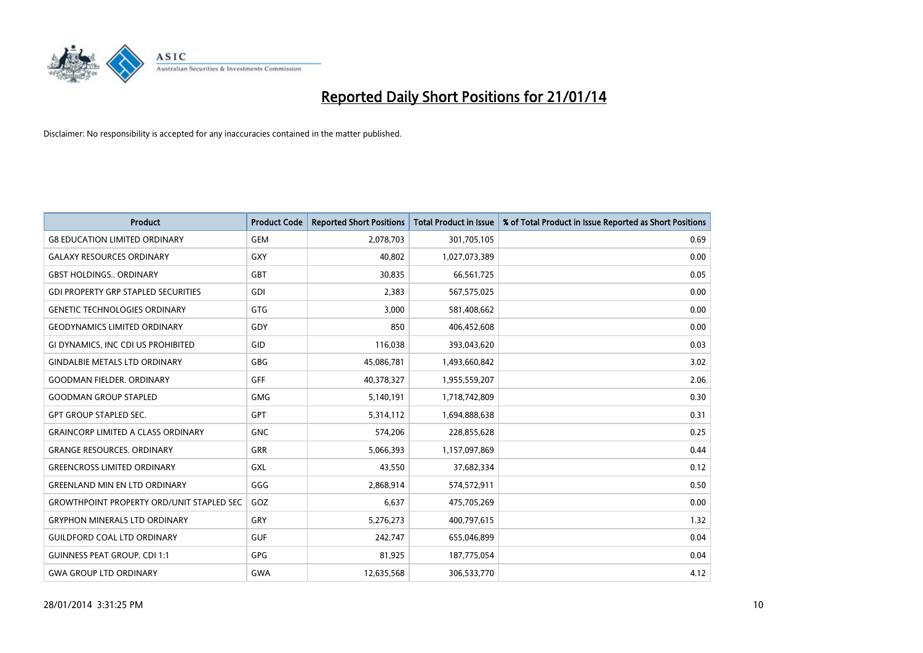

| <b>Product</b>                                   | <b>Product Code</b> | <b>Reported Short Positions</b> | <b>Total Product in Issue</b> | % of Total Product in Issue Reported as Short Positions |
|--------------------------------------------------|---------------------|---------------------------------|-------------------------------|---------------------------------------------------------|
| <b>G8 EDUCATION LIMITED ORDINARY</b>             | <b>GEM</b>          | 2,078,703                       | 301,705,105                   | 0.69                                                    |
| <b>GALAXY RESOURCES ORDINARY</b>                 | GXY                 | 40,802                          | 1,027,073,389                 | 0.00                                                    |
| <b>GBST HOLDINGS ORDINARY</b>                    | <b>GBT</b>          | 30,835                          | 66,561,725                    | 0.05                                                    |
| <b>GDI PROPERTY GRP STAPLED SECURITIES</b>       | <b>GDI</b>          | 2,383                           | 567,575,025                   | 0.00                                                    |
| <b>GENETIC TECHNOLOGIES ORDINARY</b>             | <b>GTG</b>          | 3,000                           | 581,408,662                   | 0.00                                                    |
| <b>GEODYNAMICS LIMITED ORDINARY</b>              | GDY                 | 850                             | 406,452,608                   | 0.00                                                    |
| GI DYNAMICS, INC CDI US PROHIBITED               | <b>GID</b>          | 116,038                         | 393,043,620                   | 0.03                                                    |
| <b>GINDALBIE METALS LTD ORDINARY</b>             | <b>GBG</b>          | 45,086,781                      | 1,493,660,842                 | 3.02                                                    |
| <b>GOODMAN FIELDER, ORDINARY</b>                 | <b>GFF</b>          | 40,378,327                      | 1,955,559,207                 | 2.06                                                    |
| <b>GOODMAN GROUP STAPLED</b>                     | <b>GMG</b>          | 5,140,191                       | 1,718,742,809                 | 0.30                                                    |
| <b>GPT GROUP STAPLED SEC.</b>                    | GPT                 | 5,314,112                       | 1,694,888,638                 | 0.31                                                    |
| <b>GRAINCORP LIMITED A CLASS ORDINARY</b>        | <b>GNC</b>          | 574,206                         | 228,855,628                   | 0.25                                                    |
| <b>GRANGE RESOURCES. ORDINARY</b>                | GRR                 | 5,066,393                       | 1,157,097,869                 | 0.44                                                    |
| <b>GREENCROSS LIMITED ORDINARY</b>               | GXL                 | 43,550                          | 37,682,334                    | 0.12                                                    |
| <b>GREENLAND MIN EN LTD ORDINARY</b>             | GGG                 | 2,868,914                       | 574,572,911                   | 0.50                                                    |
| <b>GROWTHPOINT PROPERTY ORD/UNIT STAPLED SEC</b> | GOZ                 | 6,637                           | 475,705,269                   | 0.00                                                    |
| <b>GRYPHON MINERALS LTD ORDINARY</b>             | GRY                 | 5,276,273                       | 400,797,615                   | 1.32                                                    |
| <b>GUILDFORD COAL LTD ORDINARY</b>               | <b>GUF</b>          | 242,747                         | 655,046,899                   | 0.04                                                    |
| <b>GUINNESS PEAT GROUP. CDI 1:1</b>              | <b>GPG</b>          | 81,925                          | 187,775,054                   | 0.04                                                    |
| <b>GWA GROUP LTD ORDINARY</b>                    | <b>GWA</b>          | 12,635,568                      | 306,533,770                   | 4.12                                                    |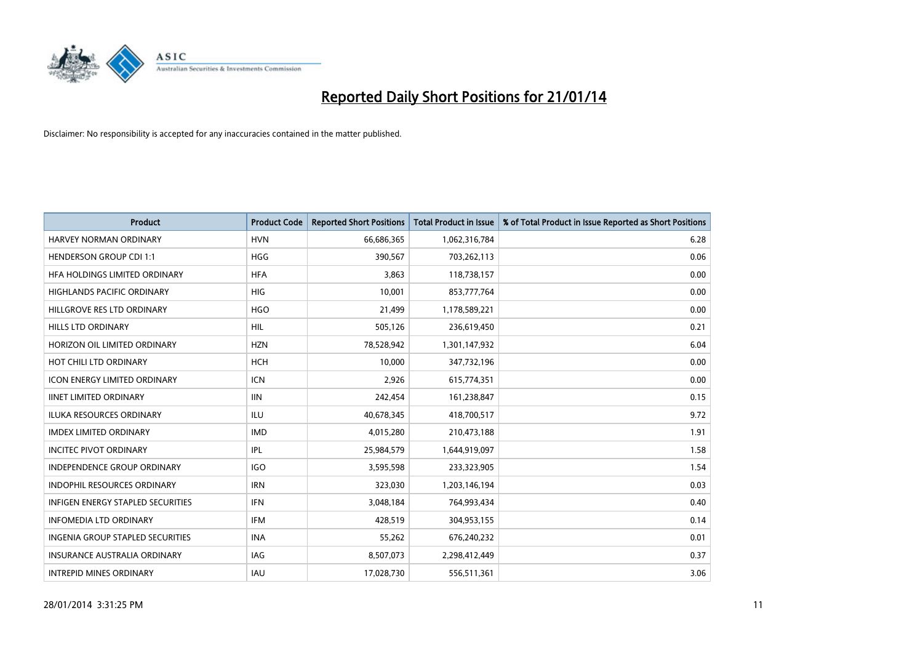

| <b>Product</b>                      | <b>Product Code</b> | <b>Reported Short Positions</b> | <b>Total Product in Issue</b> | % of Total Product in Issue Reported as Short Positions |
|-------------------------------------|---------------------|---------------------------------|-------------------------------|---------------------------------------------------------|
| <b>HARVEY NORMAN ORDINARY</b>       | <b>HVN</b>          | 66,686,365                      | 1,062,316,784                 | 6.28                                                    |
| <b>HENDERSON GROUP CDI 1:1</b>      | <b>HGG</b>          | 390,567                         | 703,262,113                   | 0.06                                                    |
| HFA HOLDINGS LIMITED ORDINARY       | <b>HFA</b>          | 3,863                           | 118,738,157                   | 0.00                                                    |
| HIGHLANDS PACIFIC ORDINARY          | <b>HIG</b>          | 10,001                          | 853,777,764                   | 0.00                                                    |
| HILLGROVE RES LTD ORDINARY          | <b>HGO</b>          | 21,499                          | 1,178,589,221                 | 0.00                                                    |
| <b>HILLS LTD ORDINARY</b>           | <b>HIL</b>          | 505,126                         | 236,619,450                   | 0.21                                                    |
| HORIZON OIL LIMITED ORDINARY        | <b>HZN</b>          | 78,528,942                      | 1,301,147,932                 | 6.04                                                    |
| HOT CHILI LTD ORDINARY              | <b>HCH</b>          | 10,000                          | 347,732,196                   | 0.00                                                    |
| <b>ICON ENERGY LIMITED ORDINARY</b> | <b>ICN</b>          | 2,926                           | 615,774,351                   | 0.00                                                    |
| <b>IINET LIMITED ORDINARY</b>       | <b>IIN</b>          | 242,454                         | 161,238,847                   | 0.15                                                    |
| ILUKA RESOURCES ORDINARY            | ILU                 | 40,678,345                      | 418,700,517                   | 9.72                                                    |
| <b>IMDEX LIMITED ORDINARY</b>       | <b>IMD</b>          | 4,015,280                       | 210,473,188                   | 1.91                                                    |
| <b>INCITEC PIVOT ORDINARY</b>       | IPL                 | 25,984,579                      | 1,644,919,097                 | 1.58                                                    |
| <b>INDEPENDENCE GROUP ORDINARY</b>  | <b>IGO</b>          | 3,595,598                       | 233,323,905                   | 1.54                                                    |
| <b>INDOPHIL RESOURCES ORDINARY</b>  | <b>IRN</b>          | 323,030                         | 1,203,146,194                 | 0.03                                                    |
| INFIGEN ENERGY STAPLED SECURITIES   | <b>IFN</b>          | 3,048,184                       | 764,993,434                   | 0.40                                                    |
| <b>INFOMEDIA LTD ORDINARY</b>       | IFM                 | 428,519                         | 304,953,155                   | 0.14                                                    |
| INGENIA GROUP STAPLED SECURITIES    | <b>INA</b>          | 55,262                          | 676,240,232                   | 0.01                                                    |
| <b>INSURANCE AUSTRALIA ORDINARY</b> | IAG                 | 8,507,073                       | 2,298,412,449                 | 0.37                                                    |
| <b>INTREPID MINES ORDINARY</b>      | IAU                 | 17,028,730                      | 556,511,361                   | 3.06                                                    |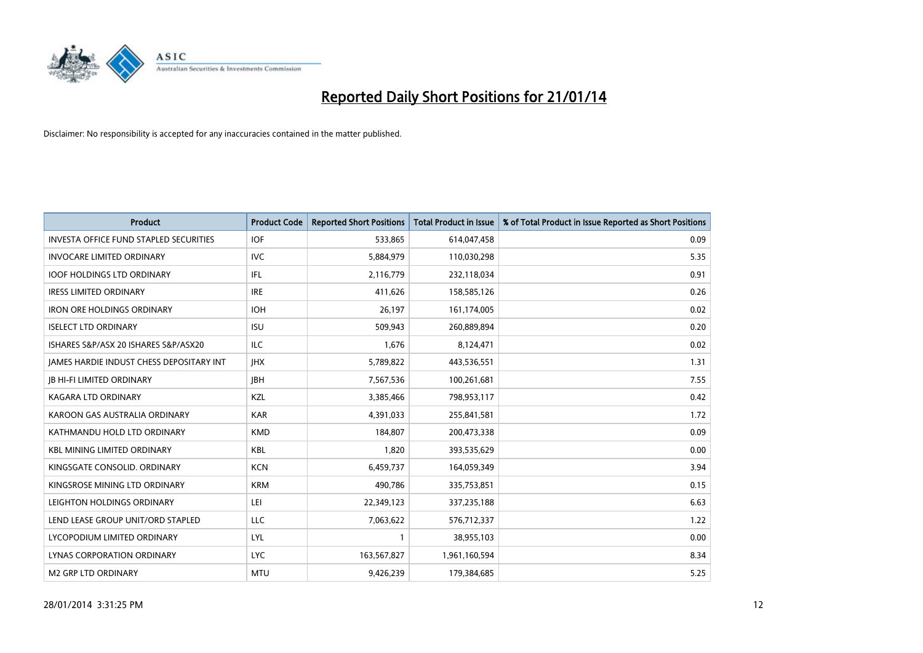

| <b>Product</b>                                  | <b>Product Code</b> | <b>Reported Short Positions</b> | <b>Total Product in Issue</b> | % of Total Product in Issue Reported as Short Positions |
|-------------------------------------------------|---------------------|---------------------------------|-------------------------------|---------------------------------------------------------|
| <b>INVESTA OFFICE FUND STAPLED SECURITIES</b>   | <b>IOF</b>          | 533,865                         | 614,047,458                   | 0.09                                                    |
| <b>INVOCARE LIMITED ORDINARY</b>                | <b>IVC</b>          | 5,884,979                       | 110,030,298                   | 5.35                                                    |
| <b>IOOF HOLDINGS LTD ORDINARY</b>               | IFL                 | 2,116,779                       | 232,118,034                   | 0.91                                                    |
| <b>IRESS LIMITED ORDINARY</b>                   | <b>IRE</b>          | 411,626                         | 158,585,126                   | 0.26                                                    |
| <b>IRON ORE HOLDINGS ORDINARY</b>               | <b>IOH</b>          | 26,197                          | 161,174,005                   | 0.02                                                    |
| <b>ISELECT LTD ORDINARY</b>                     | <b>ISU</b>          | 509,943                         | 260,889,894                   | 0.20                                                    |
| ISHARES S&P/ASX 20 ISHARES S&P/ASX20            | ILC                 | 1,676                           | 8,124,471                     | 0.02                                                    |
| <b>JAMES HARDIE INDUST CHESS DEPOSITARY INT</b> | <b>IHX</b>          | 5,789,822                       | 443,536,551                   | 1.31                                                    |
| <b>JB HI-FI LIMITED ORDINARY</b>                | <b>IBH</b>          | 7,567,536                       | 100,261,681                   | 7.55                                                    |
| <b>KAGARA LTD ORDINARY</b>                      | KZL                 | 3,385,466                       | 798,953,117                   | 0.42                                                    |
| KAROON GAS AUSTRALIA ORDINARY                   | <b>KAR</b>          | 4,391,033                       | 255,841,581                   | 1.72                                                    |
| KATHMANDU HOLD LTD ORDINARY                     | <b>KMD</b>          | 184,807                         | 200,473,338                   | 0.09                                                    |
| <b>KBL MINING LIMITED ORDINARY</b>              | <b>KBL</b>          | 1,820                           | 393,535,629                   | 0.00                                                    |
| KINGSGATE CONSOLID, ORDINARY                    | <b>KCN</b>          | 6,459,737                       | 164,059,349                   | 3.94                                                    |
| KINGSROSE MINING LTD ORDINARY                   | <b>KRM</b>          | 490,786                         | 335,753,851                   | 0.15                                                    |
| LEIGHTON HOLDINGS ORDINARY                      | LEI                 | 22,349,123                      | 337,235,188                   | 6.63                                                    |
| LEND LEASE GROUP UNIT/ORD STAPLED               | LLC                 | 7,063,622                       | 576,712,337                   | 1.22                                                    |
| LYCOPODIUM LIMITED ORDINARY                     | <b>LYL</b>          |                                 | 38,955,103                    | 0.00                                                    |
| LYNAS CORPORATION ORDINARY                      | <b>LYC</b>          | 163,567,827                     | 1,961,160,594                 | 8.34                                                    |
| <b>M2 GRP LTD ORDINARY</b>                      | <b>MTU</b>          | 9,426,239                       | 179,384,685                   | 5.25                                                    |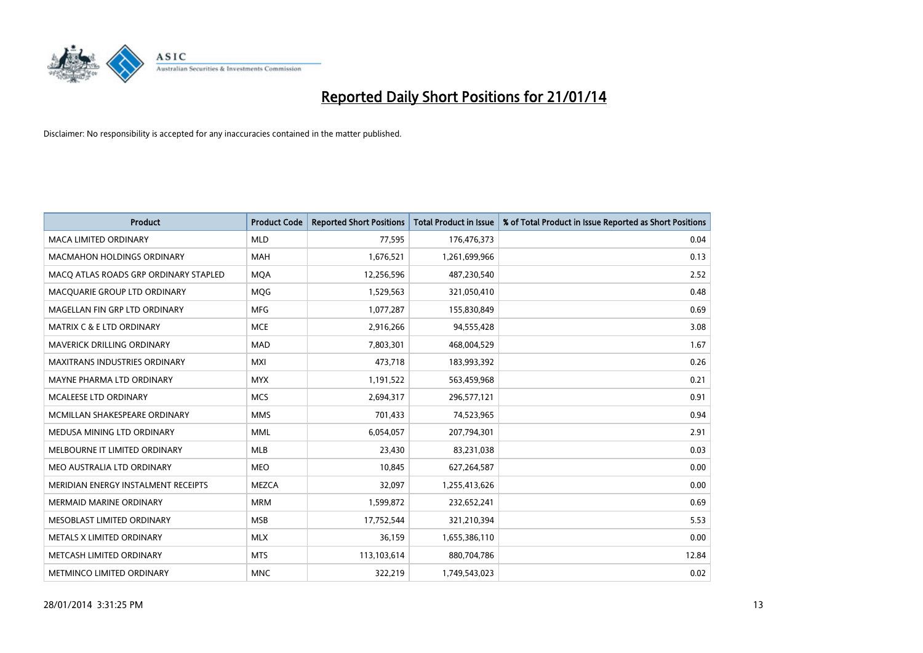

| <b>Product</b>                        | <b>Product Code</b> | <b>Reported Short Positions</b> | <b>Total Product in Issue</b> | % of Total Product in Issue Reported as Short Positions |
|---------------------------------------|---------------------|---------------------------------|-------------------------------|---------------------------------------------------------|
| <b>MACA LIMITED ORDINARY</b>          | <b>MLD</b>          | 77,595                          | 176,476,373                   | 0.04                                                    |
| <b>MACMAHON HOLDINGS ORDINARY</b>     | <b>MAH</b>          | 1,676,521                       | 1,261,699,966                 | 0.13                                                    |
| MACO ATLAS ROADS GRP ORDINARY STAPLED | <b>MOA</b>          | 12,256,596                      | 487,230,540                   | 2.52                                                    |
| MACQUARIE GROUP LTD ORDINARY          | <b>MOG</b>          | 1,529,563                       | 321,050,410                   | 0.48                                                    |
| MAGELLAN FIN GRP LTD ORDINARY         | <b>MFG</b>          | 1,077,287                       | 155,830,849                   | 0.69                                                    |
| <b>MATRIX C &amp; E LTD ORDINARY</b>  | <b>MCE</b>          | 2,916,266                       | 94,555,428                    | 3.08                                                    |
| MAVERICK DRILLING ORDINARY            | <b>MAD</b>          | 7,803,301                       | 468,004,529                   | 1.67                                                    |
| MAXITRANS INDUSTRIES ORDINARY         | <b>MXI</b>          | 473,718                         | 183,993,392                   | 0.26                                                    |
| MAYNE PHARMA LTD ORDINARY             | <b>MYX</b>          | 1,191,522                       | 563,459,968                   | 0.21                                                    |
| MCALEESE LTD ORDINARY                 | <b>MCS</b>          | 2,694,317                       | 296,577,121                   | 0.91                                                    |
| MCMILLAN SHAKESPEARE ORDINARY         | <b>MMS</b>          | 701,433                         | 74,523,965                    | 0.94                                                    |
| MEDUSA MINING LTD ORDINARY            | <b>MML</b>          | 6,054,057                       | 207,794,301                   | 2.91                                                    |
| MELBOURNE IT LIMITED ORDINARY         | <b>MLB</b>          | 23,430                          | 83,231,038                    | 0.03                                                    |
| MEO AUSTRALIA LTD ORDINARY            | <b>MEO</b>          | 10,845                          | 627,264,587                   | 0.00                                                    |
| MERIDIAN ENERGY INSTALMENT RECEIPTS   | <b>MEZCA</b>        | 32,097                          | 1,255,413,626                 | 0.00                                                    |
| MERMAID MARINE ORDINARY               | <b>MRM</b>          | 1,599,872                       | 232,652,241                   | 0.69                                                    |
| MESOBLAST LIMITED ORDINARY            | <b>MSB</b>          | 17,752,544                      | 321,210,394                   | 5.53                                                    |
| METALS X LIMITED ORDINARY             | <b>MLX</b>          | 36,159                          | 1,655,386,110                 | 0.00                                                    |
| METCASH LIMITED ORDINARY              | <b>MTS</b>          | 113,103,614                     | 880,704,786                   | 12.84                                                   |
| METMINCO LIMITED ORDINARY             | <b>MNC</b>          | 322,219                         | 1,749,543,023                 | 0.02                                                    |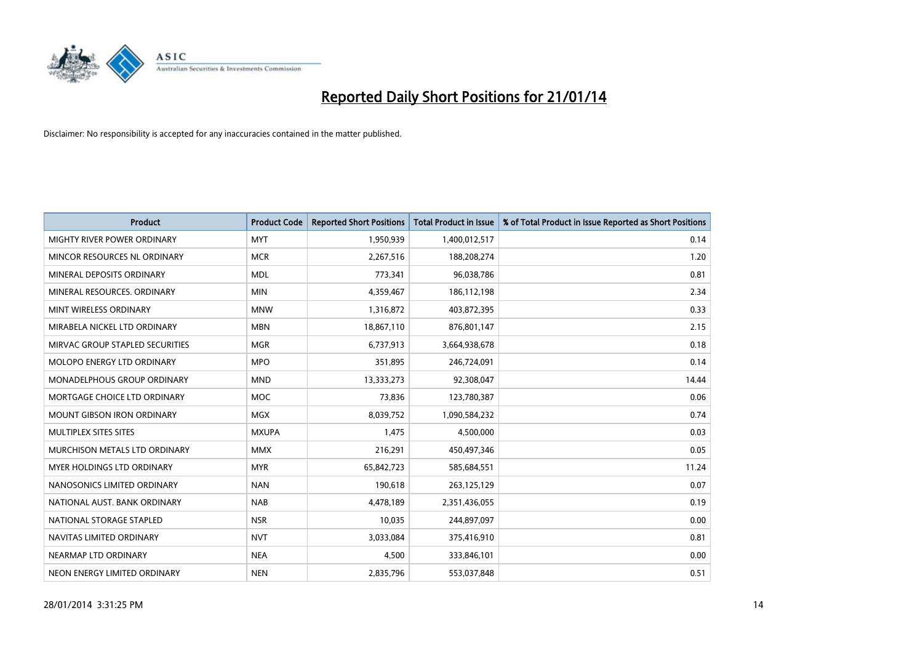

| <b>Product</b>                    | <b>Product Code</b> | <b>Reported Short Positions</b> | <b>Total Product in Issue</b> | % of Total Product in Issue Reported as Short Positions |
|-----------------------------------|---------------------|---------------------------------|-------------------------------|---------------------------------------------------------|
| MIGHTY RIVER POWER ORDINARY       | <b>MYT</b>          | 1,950,939                       | 1,400,012,517                 | 0.14                                                    |
| MINCOR RESOURCES NL ORDINARY      | <b>MCR</b>          | 2,267,516                       | 188,208,274                   | 1.20                                                    |
| MINERAL DEPOSITS ORDINARY         | <b>MDL</b>          | 773,341                         | 96,038,786                    | 0.81                                                    |
| MINERAL RESOURCES. ORDINARY       | <b>MIN</b>          | 4,359,467                       | 186,112,198                   | 2.34                                                    |
| MINT WIRELESS ORDINARY            | <b>MNW</b>          | 1,316,872                       | 403,872,395                   | 0.33                                                    |
| MIRABELA NICKEL LTD ORDINARY      | <b>MBN</b>          | 18,867,110                      | 876,801,147                   | 2.15                                                    |
| MIRVAC GROUP STAPLED SECURITIES   | <b>MGR</b>          | 6,737,913                       | 3,664,938,678                 | 0.18                                                    |
| MOLOPO ENERGY LTD ORDINARY        | <b>MPO</b>          | 351,895                         | 246,724,091                   | 0.14                                                    |
| MONADELPHOUS GROUP ORDINARY       | <b>MND</b>          | 13,333,273                      | 92,308,047                    | 14.44                                                   |
| MORTGAGE CHOICE LTD ORDINARY      | <b>MOC</b>          | 73,836                          | 123,780,387                   | 0.06                                                    |
| <b>MOUNT GIBSON IRON ORDINARY</b> | MGX                 | 8,039,752                       | 1,090,584,232                 | 0.74                                                    |
| MULTIPLEX SITES SITES             | <b>MXUPA</b>        | 1,475                           | 4,500,000                     | 0.03                                                    |
| MURCHISON METALS LTD ORDINARY     | <b>MMX</b>          | 216,291                         | 450,497,346                   | 0.05                                                    |
| MYER HOLDINGS LTD ORDINARY        | <b>MYR</b>          | 65,842,723                      | 585,684,551                   | 11.24                                                   |
| NANOSONICS LIMITED ORDINARY       | <b>NAN</b>          | 190,618                         | 263,125,129                   | 0.07                                                    |
| NATIONAL AUST, BANK ORDINARY      | <b>NAB</b>          | 4,478,189                       | 2,351,436,055                 | 0.19                                                    |
| NATIONAL STORAGE STAPLED          | <b>NSR</b>          | 10,035                          | 244,897,097                   | 0.00                                                    |
| NAVITAS LIMITED ORDINARY          | <b>NVT</b>          | 3,033,084                       | 375,416,910                   | 0.81                                                    |
| NEARMAP LTD ORDINARY              | <b>NEA</b>          | 4,500                           | 333,846,101                   | 0.00                                                    |
| NEON ENERGY LIMITED ORDINARY      | <b>NEN</b>          | 2,835,796                       | 553,037,848                   | 0.51                                                    |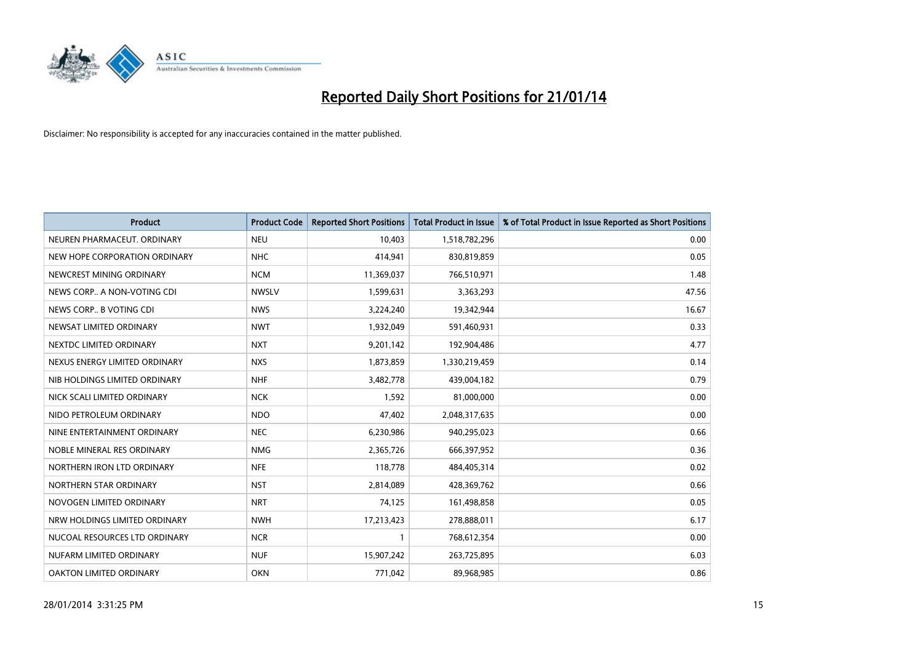

| <b>Product</b>                | <b>Product Code</b> | <b>Reported Short Positions</b> | <b>Total Product in Issue</b> | % of Total Product in Issue Reported as Short Positions |
|-------------------------------|---------------------|---------------------------------|-------------------------------|---------------------------------------------------------|
| NEUREN PHARMACEUT, ORDINARY   | <b>NEU</b>          | 10,403                          | 1,518,782,296                 | 0.00                                                    |
| NEW HOPE CORPORATION ORDINARY | <b>NHC</b>          | 414,941                         | 830,819,859                   | 0.05                                                    |
| NEWCREST MINING ORDINARY      | <b>NCM</b>          | 11,369,037                      | 766,510,971                   | 1.48                                                    |
| NEWS CORP A NON-VOTING CDI    | <b>NWSLV</b>        | 1,599,631                       | 3,363,293                     | 47.56                                                   |
| NEWS CORP B VOTING CDI        | <b>NWS</b>          | 3,224,240                       | 19,342,944                    | 16.67                                                   |
| NEWSAT LIMITED ORDINARY       | <b>NWT</b>          | 1,932,049                       | 591,460,931                   | 0.33                                                    |
| NEXTDC LIMITED ORDINARY       | <b>NXT</b>          | 9,201,142                       | 192,904,486                   | 4.77                                                    |
| NEXUS ENERGY LIMITED ORDINARY | <b>NXS</b>          | 1,873,859                       | 1,330,219,459                 | 0.14                                                    |
| NIB HOLDINGS LIMITED ORDINARY | <b>NHF</b>          | 3,482,778                       | 439,004,182                   | 0.79                                                    |
| NICK SCALI LIMITED ORDINARY   | <b>NCK</b>          | 1,592                           | 81,000,000                    | 0.00                                                    |
| NIDO PETROLEUM ORDINARY       | <b>NDO</b>          | 47,402                          | 2,048,317,635                 | 0.00                                                    |
| NINE ENTERTAINMENT ORDINARY   | <b>NEC</b>          | 6,230,986                       | 940,295,023                   | 0.66                                                    |
| NOBLE MINERAL RES ORDINARY    | <b>NMG</b>          | 2,365,726                       | 666,397,952                   | 0.36                                                    |
| NORTHERN IRON LTD ORDINARY    | <b>NFE</b>          | 118,778                         | 484,405,314                   | 0.02                                                    |
| NORTHERN STAR ORDINARY        | <b>NST</b>          | 2,814,089                       | 428,369,762                   | 0.66                                                    |
| NOVOGEN LIMITED ORDINARY      | <b>NRT</b>          | 74,125                          | 161,498,858                   | 0.05                                                    |
| NRW HOLDINGS LIMITED ORDINARY | <b>NWH</b>          | 17,213,423                      | 278,888,011                   | 6.17                                                    |
| NUCOAL RESOURCES LTD ORDINARY | <b>NCR</b>          | $\mathbf{1}$                    | 768,612,354                   | 0.00                                                    |
| NUFARM LIMITED ORDINARY       | <b>NUF</b>          | 15,907,242                      | 263,725,895                   | 6.03                                                    |
| OAKTON LIMITED ORDINARY       | <b>OKN</b>          | 771,042                         | 89,968,985                    | 0.86                                                    |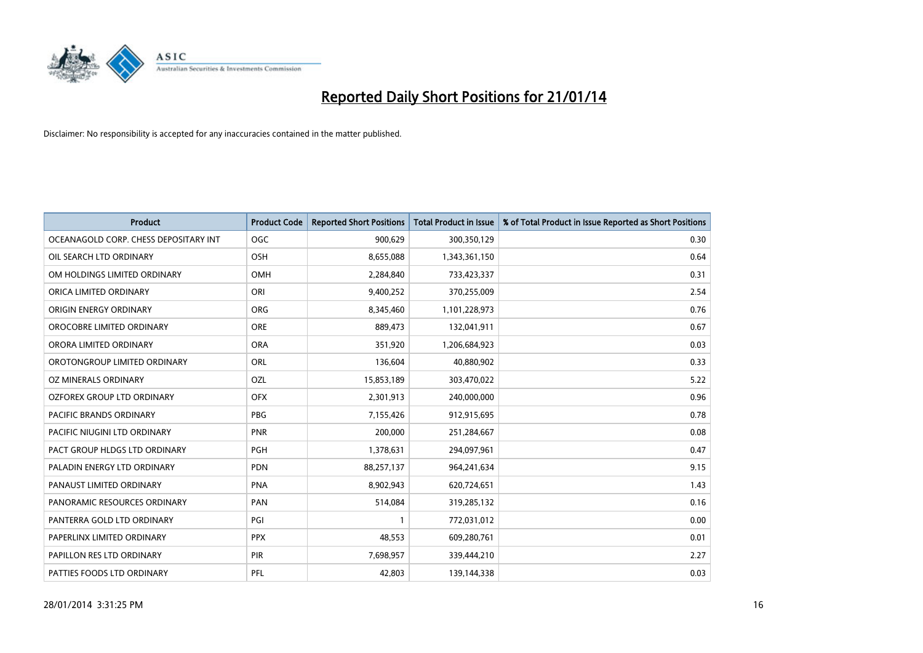

| <b>Product</b>                        | <b>Product Code</b> | <b>Reported Short Positions</b> | <b>Total Product in Issue</b> | % of Total Product in Issue Reported as Short Positions |
|---------------------------------------|---------------------|---------------------------------|-------------------------------|---------------------------------------------------------|
| OCEANAGOLD CORP. CHESS DEPOSITARY INT | <b>OGC</b>          | 900,629                         | 300,350,129                   | 0.30                                                    |
| OIL SEARCH LTD ORDINARY               | OSH                 | 8,655,088                       | 1,343,361,150                 | 0.64                                                    |
| OM HOLDINGS LIMITED ORDINARY          | <b>OMH</b>          | 2,284,840                       | 733,423,337                   | 0.31                                                    |
| ORICA LIMITED ORDINARY                | ORI                 | 9,400,252                       | 370,255,009                   | 2.54                                                    |
| ORIGIN ENERGY ORDINARY                | ORG                 | 8,345,460                       | 1,101,228,973                 | 0.76                                                    |
| OROCOBRE LIMITED ORDINARY             | <b>ORE</b>          | 889,473                         | 132,041,911                   | 0.67                                                    |
| ORORA LIMITED ORDINARY                | <b>ORA</b>          | 351,920                         | 1,206,684,923                 | 0.03                                                    |
| OROTONGROUP LIMITED ORDINARY          | ORL                 | 136,604                         | 40,880,902                    | 0.33                                                    |
| OZ MINERALS ORDINARY                  | OZL                 | 15,853,189                      | 303,470,022                   | 5.22                                                    |
| OZFOREX GROUP LTD ORDINARY            | <b>OFX</b>          | 2,301,913                       | 240,000,000                   | 0.96                                                    |
| PACIFIC BRANDS ORDINARY               | PBG                 | 7,155,426                       | 912,915,695                   | 0.78                                                    |
| PACIFIC NIUGINI LTD ORDINARY          | PNR                 | 200,000                         | 251,284,667                   | 0.08                                                    |
| PACT GROUP HLDGS LTD ORDINARY         | <b>PGH</b>          | 1,378,631                       | 294,097,961                   | 0.47                                                    |
| PALADIN ENERGY LTD ORDINARY           | <b>PDN</b>          | 88,257,137                      | 964,241,634                   | 9.15                                                    |
| PANAUST LIMITED ORDINARY              | <b>PNA</b>          | 8,902,943                       | 620,724,651                   | 1.43                                                    |
| PANORAMIC RESOURCES ORDINARY          | PAN                 | 514,084                         | 319,285,132                   | 0.16                                                    |
| PANTERRA GOLD LTD ORDINARY            | PGI                 | $\mathbf{1}$                    | 772,031,012                   | 0.00                                                    |
| PAPERLINX LIMITED ORDINARY            | <b>PPX</b>          | 48,553                          | 609,280,761                   | 0.01                                                    |
| PAPILLON RES LTD ORDINARY             | PIR                 | 7,698,957                       | 339,444,210                   | 2.27                                                    |
| PATTIES FOODS LTD ORDINARY            | PFL                 | 42,803                          | 139,144,338                   | 0.03                                                    |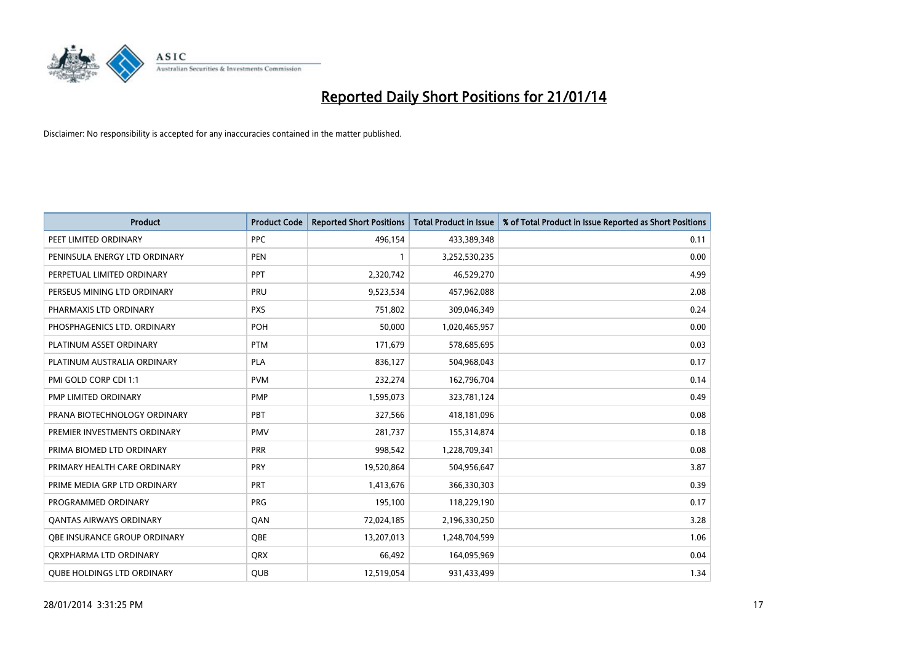

| <b>Product</b>                      | <b>Product Code</b> | <b>Reported Short Positions</b> | <b>Total Product in Issue</b> | % of Total Product in Issue Reported as Short Positions |
|-------------------------------------|---------------------|---------------------------------|-------------------------------|---------------------------------------------------------|
| PEET LIMITED ORDINARY               | <b>PPC</b>          | 496,154                         | 433,389,348                   | 0.11                                                    |
| PENINSULA ENERGY LTD ORDINARY       | <b>PEN</b>          |                                 | 3,252,530,235                 | 0.00                                                    |
| PERPETUAL LIMITED ORDINARY          | <b>PPT</b>          | 2,320,742                       | 46,529,270                    | 4.99                                                    |
| PERSEUS MINING LTD ORDINARY         | PRU                 | 9,523,534                       | 457,962,088                   | 2.08                                                    |
| PHARMAXIS LTD ORDINARY              | <b>PXS</b>          | 751,802                         | 309,046,349                   | 0.24                                                    |
| PHOSPHAGENICS LTD. ORDINARY         | POH                 | 50,000                          | 1,020,465,957                 | 0.00                                                    |
| PLATINUM ASSET ORDINARY             | <b>PTM</b>          | 171,679                         | 578,685,695                   | 0.03                                                    |
| PLATINUM AUSTRALIA ORDINARY         | <b>PLA</b>          | 836,127                         | 504,968,043                   | 0.17                                                    |
| PMI GOLD CORP CDI 1:1               | <b>PVM</b>          | 232,274                         | 162,796,704                   | 0.14                                                    |
| <b>PMP LIMITED ORDINARY</b>         | <b>PMP</b>          | 1,595,073                       | 323,781,124                   | 0.49                                                    |
| PRANA BIOTECHNOLOGY ORDINARY        | PBT                 | 327,566                         | 418,181,096                   | 0.08                                                    |
| PREMIER INVESTMENTS ORDINARY        | <b>PMV</b>          | 281,737                         | 155,314,874                   | 0.18                                                    |
| PRIMA BIOMED LTD ORDINARY           | <b>PRR</b>          | 998,542                         | 1,228,709,341                 | 0.08                                                    |
| PRIMARY HEALTH CARE ORDINARY        | PRY                 | 19,520,864                      | 504,956,647                   | 3.87                                                    |
| PRIME MEDIA GRP LTD ORDINARY        | <b>PRT</b>          | 1,413,676                       | 366,330,303                   | 0.39                                                    |
| PROGRAMMED ORDINARY                 | <b>PRG</b>          | 195,100                         | 118,229,190                   | 0.17                                                    |
| <b>QANTAS AIRWAYS ORDINARY</b>      | QAN                 | 72,024,185                      | 2,196,330,250                 | 3.28                                                    |
| <b>OBE INSURANCE GROUP ORDINARY</b> | QBE                 | 13,207,013                      | 1,248,704,599                 | 1.06                                                    |
| ORXPHARMA LTD ORDINARY              | <b>QRX</b>          | 66,492                          | 164,095,969                   | 0.04                                                    |
| <b>QUBE HOLDINGS LTD ORDINARY</b>   | <b>QUB</b>          | 12,519,054                      | 931,433,499                   | 1.34                                                    |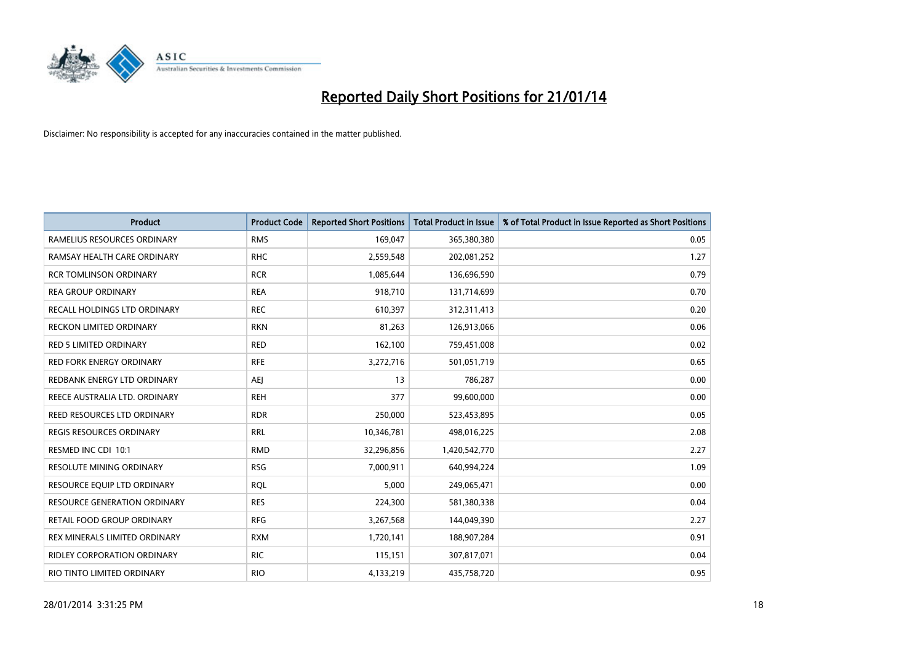

| <b>Product</b>                      | <b>Product Code</b> | <b>Reported Short Positions</b> | <b>Total Product in Issue</b> | % of Total Product in Issue Reported as Short Positions |
|-------------------------------------|---------------------|---------------------------------|-------------------------------|---------------------------------------------------------|
| RAMELIUS RESOURCES ORDINARY         | <b>RMS</b>          | 169,047                         | 365,380,380                   | 0.05                                                    |
| RAMSAY HEALTH CARE ORDINARY         | <b>RHC</b>          | 2,559,548                       | 202,081,252                   | 1.27                                                    |
| <b>RCR TOMLINSON ORDINARY</b>       | <b>RCR</b>          | 1,085,644                       | 136,696,590                   | 0.79                                                    |
| <b>REA GROUP ORDINARY</b>           | <b>REA</b>          | 918,710                         | 131,714,699                   | 0.70                                                    |
| RECALL HOLDINGS LTD ORDINARY        | <b>REC</b>          | 610,397                         | 312,311,413                   | 0.20                                                    |
| <b>RECKON LIMITED ORDINARY</b>      | <b>RKN</b>          | 81,263                          | 126,913,066                   | 0.06                                                    |
| RED 5 LIMITED ORDINARY              | <b>RED</b>          | 162,100                         | 759,451,008                   | 0.02                                                    |
| RED FORK ENERGY ORDINARY            | <b>RFE</b>          | 3,272,716                       | 501,051,719                   | 0.65                                                    |
| REDBANK ENERGY LTD ORDINARY         | AEJ                 | 13                              | 786,287                       | 0.00                                                    |
| REECE AUSTRALIA LTD. ORDINARY       | <b>REH</b>          | 377                             | 99,600,000                    | 0.00                                                    |
| REED RESOURCES LTD ORDINARY         | <b>RDR</b>          | 250,000                         | 523,453,895                   | 0.05                                                    |
| REGIS RESOURCES ORDINARY            | <b>RRL</b>          | 10,346,781                      | 498,016,225                   | 2.08                                                    |
| RESMED INC CDI 10:1                 | <b>RMD</b>          | 32,296,856                      | 1,420,542,770                 | 2.27                                                    |
| <b>RESOLUTE MINING ORDINARY</b>     | <b>RSG</b>          | 7,000,911                       | 640,994,224                   | 1.09                                                    |
| RESOURCE EQUIP LTD ORDINARY         | <b>RQL</b>          | 5,000                           | 249,065,471                   | 0.00                                                    |
| <b>RESOURCE GENERATION ORDINARY</b> | <b>RES</b>          | 224,300                         | 581,380,338                   | 0.04                                                    |
| RETAIL FOOD GROUP ORDINARY          | <b>RFG</b>          | 3,267,568                       | 144,049,390                   | 2.27                                                    |
| REX MINERALS LIMITED ORDINARY       | <b>RXM</b>          | 1,720,141                       | 188,907,284                   | 0.91                                                    |
| <b>RIDLEY CORPORATION ORDINARY</b>  | <b>RIC</b>          | 115,151                         | 307,817,071                   | 0.04                                                    |
| RIO TINTO LIMITED ORDINARY          | <b>RIO</b>          | 4,133,219                       | 435,758,720                   | 0.95                                                    |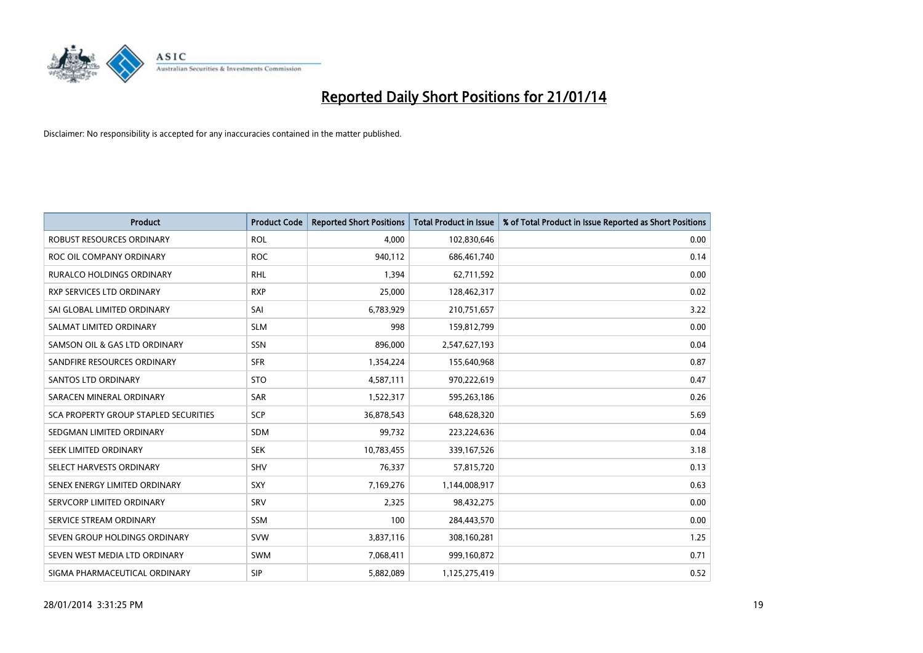

| <b>Product</b>                        | <b>Product Code</b> | <b>Reported Short Positions</b> | <b>Total Product in Issue</b> | % of Total Product in Issue Reported as Short Positions |
|---------------------------------------|---------------------|---------------------------------|-------------------------------|---------------------------------------------------------|
| ROBUST RESOURCES ORDINARY             | <b>ROL</b>          | 4,000                           | 102,830,646                   | 0.00                                                    |
| ROC OIL COMPANY ORDINARY              | <b>ROC</b>          | 940,112                         | 686,461,740                   | 0.14                                                    |
| <b>RURALCO HOLDINGS ORDINARY</b>      | <b>RHL</b>          | 1,394                           | 62,711,592                    | 0.00                                                    |
| RXP SERVICES LTD ORDINARY             | <b>RXP</b>          | 25,000                          | 128,462,317                   | 0.02                                                    |
| SAI GLOBAL LIMITED ORDINARY           | SAI                 | 6,783,929                       | 210,751,657                   | 3.22                                                    |
| SALMAT LIMITED ORDINARY               | <b>SLM</b>          | 998                             | 159,812,799                   | 0.00                                                    |
| SAMSON OIL & GAS LTD ORDINARY         | SSN                 | 896,000                         | 2,547,627,193                 | 0.04                                                    |
| SANDFIRE RESOURCES ORDINARY           | <b>SFR</b>          | 1,354,224                       | 155,640,968                   | 0.87                                                    |
| SANTOS LTD ORDINARY                   | <b>STO</b>          | 4,587,111                       | 970,222,619                   | 0.47                                                    |
| SARACEN MINERAL ORDINARY              | <b>SAR</b>          | 1,522,317                       | 595,263,186                   | 0.26                                                    |
| SCA PROPERTY GROUP STAPLED SECURITIES | SCP                 | 36,878,543                      | 648,628,320                   | 5.69                                                    |
| SEDGMAN LIMITED ORDINARY              | SDM                 | 99,732                          | 223,224,636                   | 0.04                                                    |
| SEEK LIMITED ORDINARY                 | <b>SEK</b>          | 10,783,455                      | 339,167,526                   | 3.18                                                    |
| SELECT HARVESTS ORDINARY              | SHV                 | 76,337                          | 57,815,720                    | 0.13                                                    |
| SENEX ENERGY LIMITED ORDINARY         | <b>SXY</b>          | 7,169,276                       | 1,144,008,917                 | 0.63                                                    |
| SERVCORP LIMITED ORDINARY             | SRV                 | 2,325                           | 98,432,275                    | 0.00                                                    |
| SERVICE STREAM ORDINARY               | <b>SSM</b>          | 100                             | 284,443,570                   | 0.00                                                    |
| SEVEN GROUP HOLDINGS ORDINARY         | <b>SVW</b>          | 3,837,116                       | 308,160,281                   | 1.25                                                    |
| SEVEN WEST MEDIA LTD ORDINARY         | SWM                 | 7,068,411                       | 999,160,872                   | 0.71                                                    |
| SIGMA PHARMACEUTICAL ORDINARY         | <b>SIP</b>          | 5,882,089                       | 1,125,275,419                 | 0.52                                                    |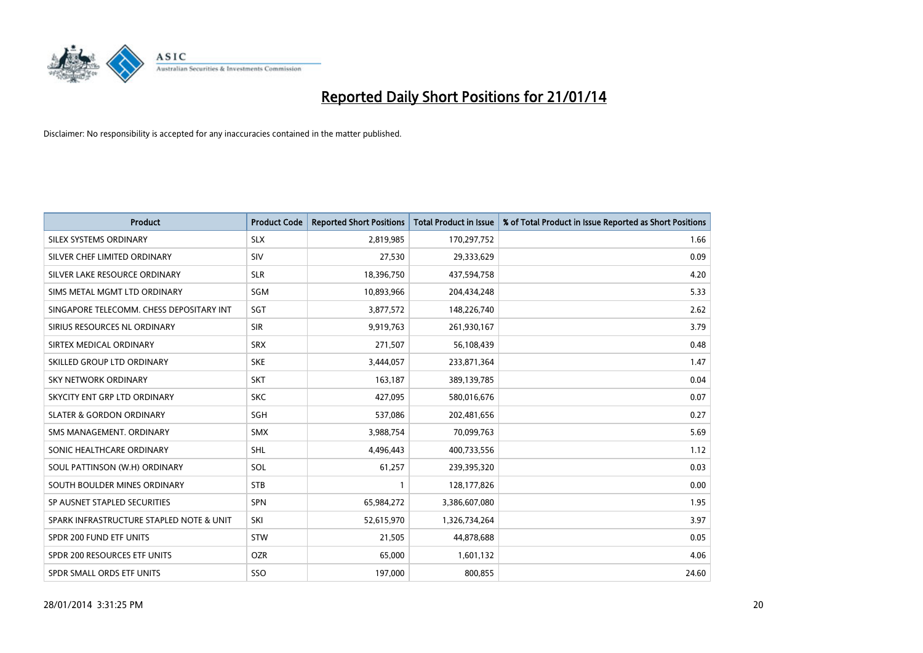

| <b>Product</b>                           | <b>Product Code</b> | <b>Reported Short Positions</b> | <b>Total Product in Issue</b> | % of Total Product in Issue Reported as Short Positions |
|------------------------------------------|---------------------|---------------------------------|-------------------------------|---------------------------------------------------------|
| SILEX SYSTEMS ORDINARY                   | <b>SLX</b>          | 2,819,985                       | 170,297,752                   | 1.66                                                    |
| SILVER CHEF LIMITED ORDINARY             | <b>SIV</b>          | 27,530                          | 29,333,629                    | 0.09                                                    |
| SILVER LAKE RESOURCE ORDINARY            | <b>SLR</b>          | 18,396,750                      | 437,594,758                   | 4.20                                                    |
| SIMS METAL MGMT LTD ORDINARY             | SGM                 | 10,893,966                      | 204,434,248                   | 5.33                                                    |
| SINGAPORE TELECOMM. CHESS DEPOSITARY INT | SGT                 | 3,877,572                       | 148,226,740                   | 2.62                                                    |
| SIRIUS RESOURCES NL ORDINARY             | <b>SIR</b>          | 9,919,763                       | 261,930,167                   | 3.79                                                    |
| SIRTEX MEDICAL ORDINARY                  | <b>SRX</b>          | 271,507                         | 56,108,439                    | 0.48                                                    |
| SKILLED GROUP LTD ORDINARY               | <b>SKE</b>          | 3,444,057                       | 233,871,364                   | 1.47                                                    |
| <b>SKY NETWORK ORDINARY</b>              | <b>SKT</b>          | 163,187                         | 389,139,785                   | 0.04                                                    |
| SKYCITY ENT GRP LTD ORDINARY             | <b>SKC</b>          | 427,095                         | 580,016,676                   | 0.07                                                    |
| <b>SLATER &amp; GORDON ORDINARY</b>      | SGH                 | 537,086                         | 202,481,656                   | 0.27                                                    |
| SMS MANAGEMENT, ORDINARY                 | SMX                 | 3,988,754                       | 70,099,763                    | 5.69                                                    |
| SONIC HEALTHCARE ORDINARY                | SHL                 | 4,496,443                       | 400,733,556                   | 1.12                                                    |
| SOUL PATTINSON (W.H) ORDINARY            | SOL                 | 61,257                          | 239,395,320                   | 0.03                                                    |
| SOUTH BOULDER MINES ORDINARY             | <b>STB</b>          | $\mathbf{1}$                    | 128,177,826                   | 0.00                                                    |
| SP AUSNET STAPLED SECURITIES             | SPN                 | 65,984,272                      | 3,386,607,080                 | 1.95                                                    |
| SPARK INFRASTRUCTURE STAPLED NOTE & UNIT | SKI                 | 52,615,970                      | 1,326,734,264                 | 3.97                                                    |
| SPDR 200 FUND ETF UNITS                  | <b>STW</b>          | 21,505                          | 44,878,688                    | 0.05                                                    |
| SPDR 200 RESOURCES ETF UNITS             | <b>OZR</b>          | 65,000                          | 1,601,132                     | 4.06                                                    |
| SPDR SMALL ORDS ETF UNITS                | SSO                 | 197,000                         | 800,855                       | 24.60                                                   |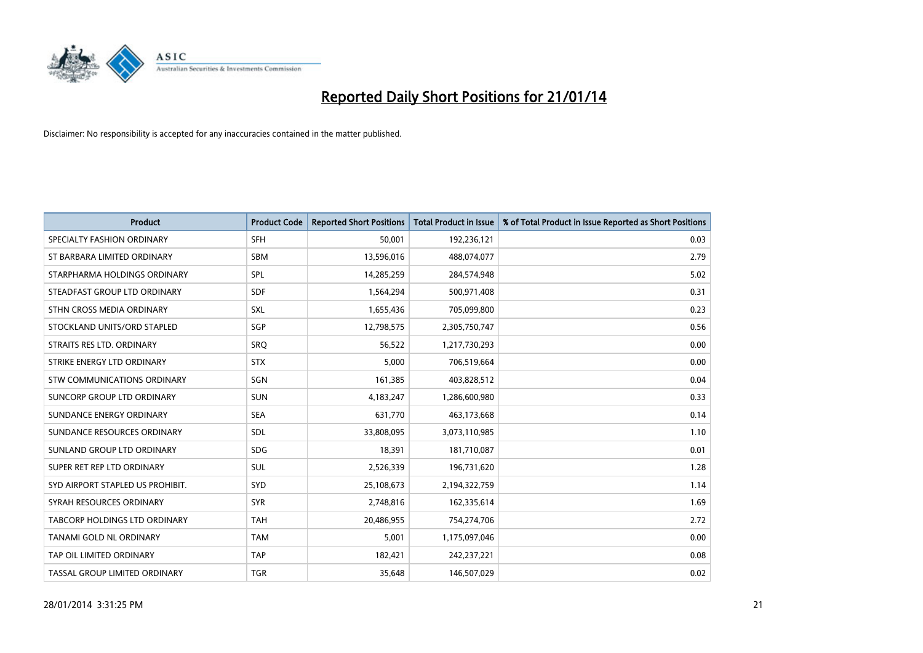

| <b>Product</b>                   | <b>Product Code</b> | <b>Reported Short Positions</b> | <b>Total Product in Issue</b> | % of Total Product in Issue Reported as Short Positions |
|----------------------------------|---------------------|---------------------------------|-------------------------------|---------------------------------------------------------|
| SPECIALTY FASHION ORDINARY       | <b>SFH</b>          | 50,001                          | 192,236,121                   | 0.03                                                    |
| ST BARBARA LIMITED ORDINARY      | <b>SBM</b>          | 13,596,016                      | 488,074,077                   | 2.79                                                    |
| STARPHARMA HOLDINGS ORDINARY     | <b>SPL</b>          | 14,285,259                      | 284,574,948                   | 5.02                                                    |
| STEADFAST GROUP LTD ORDINARY     | <b>SDF</b>          | 1,564,294                       | 500,971,408                   | 0.31                                                    |
| STHN CROSS MEDIA ORDINARY        | SXL                 | 1,655,436                       | 705,099,800                   | 0.23                                                    |
| STOCKLAND UNITS/ORD STAPLED      | SGP                 | 12,798,575                      | 2,305,750,747                 | 0.56                                                    |
| STRAITS RES LTD. ORDINARY        | <b>SRO</b>          | 56,522                          | 1,217,730,293                 | 0.00                                                    |
| STRIKE ENERGY LTD ORDINARY       | <b>STX</b>          | 5,000                           | 706,519,664                   | 0.00                                                    |
| STW COMMUNICATIONS ORDINARY      | SGN                 | 161,385                         | 403,828,512                   | 0.04                                                    |
| SUNCORP GROUP LTD ORDINARY       | <b>SUN</b>          | 4,183,247                       | 1,286,600,980                 | 0.33                                                    |
| SUNDANCE ENERGY ORDINARY         | <b>SEA</b>          | 631,770                         | 463,173,668                   | 0.14                                                    |
| SUNDANCE RESOURCES ORDINARY      | <b>SDL</b>          | 33,808,095                      | 3,073,110,985                 | 1.10                                                    |
| SUNLAND GROUP LTD ORDINARY       | <b>SDG</b>          | 18,391                          | 181,710,087                   | 0.01                                                    |
| SUPER RET REP LTD ORDINARY       | SUL                 | 2,526,339                       | 196,731,620                   | 1.28                                                    |
| SYD AIRPORT STAPLED US PROHIBIT. | <b>SYD</b>          | 25,108,673                      | 2,194,322,759                 | 1.14                                                    |
| SYRAH RESOURCES ORDINARY         | <b>SYR</b>          | 2,748,816                       | 162,335,614                   | 1.69                                                    |
| TABCORP HOLDINGS LTD ORDINARY    | <b>TAH</b>          | 20,486,955                      | 754,274,706                   | 2.72                                                    |
| <b>TANAMI GOLD NL ORDINARY</b>   | <b>TAM</b>          | 5,001                           | 1,175,097,046                 | 0.00                                                    |
| TAP OIL LIMITED ORDINARY         | <b>TAP</b>          | 182,421                         | 242,237,221                   | 0.08                                                    |
| TASSAL GROUP LIMITED ORDINARY    | <b>TGR</b>          | 35,648                          | 146,507,029                   | 0.02                                                    |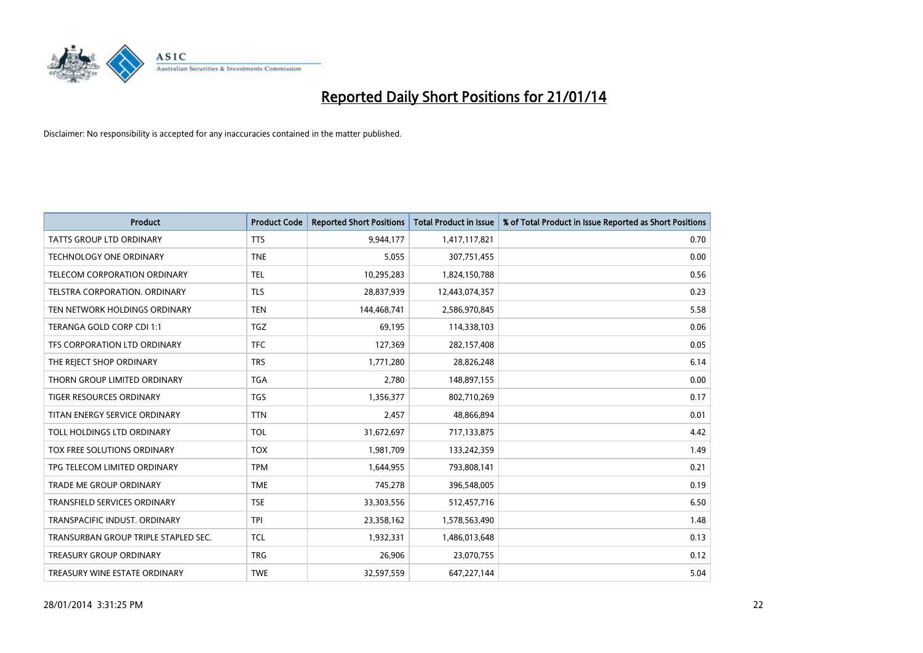

| <b>Product</b>                       | <b>Product Code</b> | <b>Reported Short Positions</b> | <b>Total Product in Issue</b> | % of Total Product in Issue Reported as Short Positions |
|--------------------------------------|---------------------|---------------------------------|-------------------------------|---------------------------------------------------------|
| <b>TATTS GROUP LTD ORDINARY</b>      | <b>TTS</b>          | 9,944,177                       | 1,417,117,821                 | 0.70                                                    |
| TECHNOLOGY ONE ORDINARY              | <b>TNE</b>          | 5,055                           | 307,751,455                   | 0.00                                                    |
| <b>TELECOM CORPORATION ORDINARY</b>  | <b>TEL</b>          | 10,295,283                      | 1,824,150,788                 | 0.56                                                    |
| TELSTRA CORPORATION. ORDINARY        | <b>TLS</b>          | 28,837,939                      | 12,443,074,357                | 0.23                                                    |
| TEN NETWORK HOLDINGS ORDINARY        | <b>TEN</b>          | 144,468,741                     | 2,586,970,845                 | 5.58                                                    |
| TERANGA GOLD CORP CDI 1:1            | <b>TGZ</b>          | 69,195                          | 114,338,103                   | 0.06                                                    |
| TFS CORPORATION LTD ORDINARY         | <b>TFC</b>          | 127,369                         | 282,157,408                   | 0.05                                                    |
| THE REJECT SHOP ORDINARY             | <b>TRS</b>          | 1,771,280                       | 28,826,248                    | 6.14                                                    |
| THORN GROUP LIMITED ORDINARY         | <b>TGA</b>          | 2,780                           | 148,897,155                   | 0.00                                                    |
| <b>TIGER RESOURCES ORDINARY</b>      | <b>TGS</b>          | 1,356,377                       | 802,710,269                   | 0.17                                                    |
| TITAN ENERGY SERVICE ORDINARY        | <b>TTN</b>          | 2,457                           | 48,866,894                    | 0.01                                                    |
| TOLL HOLDINGS LTD ORDINARY           | <b>TOL</b>          | 31,672,697                      | 717,133,875                   | 4.42                                                    |
| TOX FREE SOLUTIONS ORDINARY          | <b>TOX</b>          | 1,981,709                       | 133,242,359                   | 1.49                                                    |
| TPG TELECOM LIMITED ORDINARY         | <b>TPM</b>          | 1,644,955                       | 793,808,141                   | 0.21                                                    |
| <b>TRADE ME GROUP ORDINARY</b>       | <b>TME</b>          | 745,278                         | 396,548,005                   | 0.19                                                    |
| <b>TRANSFIELD SERVICES ORDINARY</b>  | <b>TSE</b>          | 33,303,556                      | 512,457,716                   | 6.50                                                    |
| TRANSPACIFIC INDUST, ORDINARY        | <b>TPI</b>          | 23,358,162                      | 1,578,563,490                 | 1.48                                                    |
| TRANSURBAN GROUP TRIPLE STAPLED SEC. | <b>TCL</b>          | 1,932,331                       | 1,486,013,648                 | 0.13                                                    |
| <b>TREASURY GROUP ORDINARY</b>       | <b>TRG</b>          | 26,906                          | 23,070,755                    | 0.12                                                    |
| TREASURY WINE ESTATE ORDINARY        | <b>TWE</b>          | 32,597,559                      | 647,227,144                   | 5.04                                                    |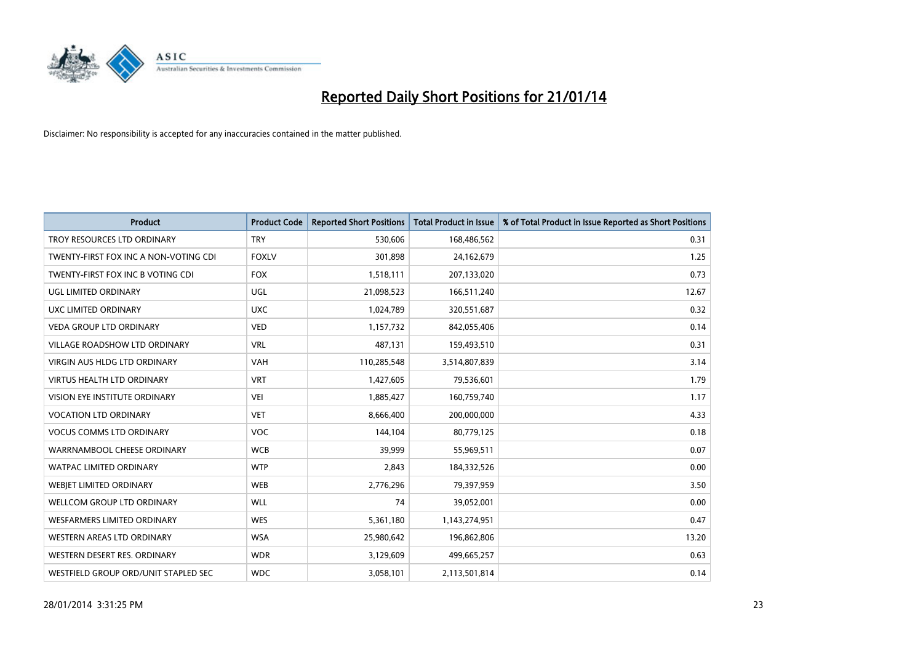

| <b>Product</b>                        | <b>Product Code</b> | <b>Reported Short Positions</b> | <b>Total Product in Issue</b> | % of Total Product in Issue Reported as Short Positions |
|---------------------------------------|---------------------|---------------------------------|-------------------------------|---------------------------------------------------------|
| TROY RESOURCES LTD ORDINARY           | <b>TRY</b>          | 530,606                         | 168,486,562                   | 0.31                                                    |
| TWENTY-FIRST FOX INC A NON-VOTING CDI | <b>FOXLV</b>        | 301,898                         | 24,162,679                    | 1.25                                                    |
| TWENTY-FIRST FOX INC B VOTING CDI     | <b>FOX</b>          | 1,518,111                       | 207,133,020                   | 0.73                                                    |
| <b>UGL LIMITED ORDINARY</b>           | UGL                 | 21,098,523                      | 166,511,240                   | 12.67                                                   |
| UXC LIMITED ORDINARY                  | <b>UXC</b>          | 1,024,789                       | 320,551,687                   | 0.32                                                    |
| <b>VEDA GROUP LTD ORDINARY</b>        | <b>VED</b>          | 1,157,732                       | 842,055,406                   | 0.14                                                    |
| <b>VILLAGE ROADSHOW LTD ORDINARY</b>  | <b>VRL</b>          | 487,131                         | 159,493,510                   | 0.31                                                    |
| <b>VIRGIN AUS HLDG LTD ORDINARY</b>   | VAH                 | 110,285,548                     | 3,514,807,839                 | 3.14                                                    |
| <b>VIRTUS HEALTH LTD ORDINARY</b>     | <b>VRT</b>          | 1,427,605                       | 79,536,601                    | 1.79                                                    |
| VISION EYE INSTITUTE ORDINARY         | <b>VEI</b>          | 1,885,427                       | 160,759,740                   | 1.17                                                    |
| <b>VOCATION LTD ORDINARY</b>          | <b>VET</b>          | 8,666,400                       | 200,000,000                   | 4.33                                                    |
| <b>VOCUS COMMS LTD ORDINARY</b>       | <b>VOC</b>          | 144,104                         | 80,779,125                    | 0.18                                                    |
| WARRNAMBOOL CHEESE ORDINARY           | <b>WCB</b>          | 39,999                          | 55,969,511                    | 0.07                                                    |
| <b>WATPAC LIMITED ORDINARY</b>        | <b>WTP</b>          | 2,843                           | 184,332,526                   | 0.00                                                    |
| WEBJET LIMITED ORDINARY               | <b>WEB</b>          | 2,776,296                       | 79,397,959                    | 3.50                                                    |
| WELLCOM GROUP LTD ORDINARY            | <b>WLL</b>          | 74                              | 39,052,001                    | 0.00                                                    |
| WESFARMERS LIMITED ORDINARY           | <b>WES</b>          | 5,361,180                       | 1,143,274,951                 | 0.47                                                    |
| WESTERN AREAS LTD ORDINARY            | <b>WSA</b>          | 25,980,642                      | 196,862,806                   | 13.20                                                   |
| WESTERN DESERT RES. ORDINARY          | <b>WDR</b>          | 3,129,609                       | 499,665,257                   | 0.63                                                    |
| WESTFIELD GROUP ORD/UNIT STAPLED SEC  | <b>WDC</b>          | 3,058,101                       | 2,113,501,814                 | 0.14                                                    |